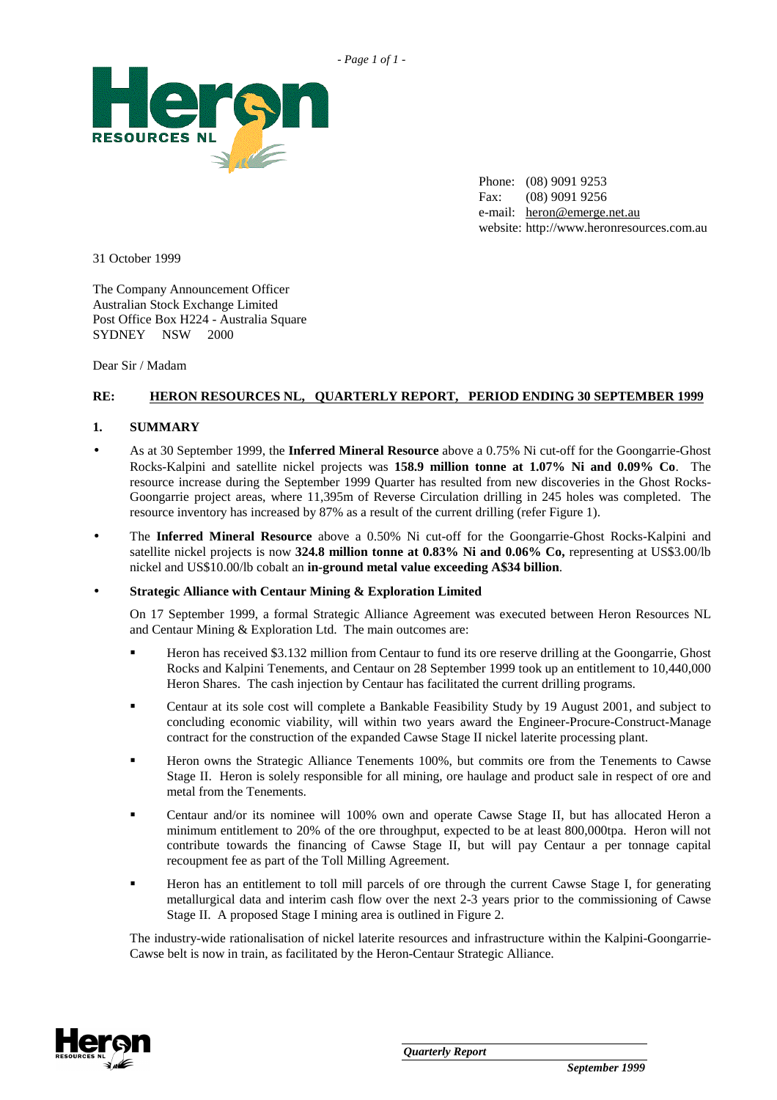

Phone: (08) 9091 9253 Fax: (08) 9091 9256 e-mail: heron@emerge.net.au website: http://www.heronresources.com.au

31 October 1999

The Company Announcement Officer Australian Stock Exchange Limited Post Office Box H224 - Australia Square SYDNEY NSW 2000

Dear Sir / Madam

# **RE: HERON RESOURCES NL, QUARTERLY REPORT, PERIOD ENDING 30 SEPTEMBER 1999**

### **1. SUMMARY**

- As at 30 September 1999, the **Inferred Mineral Resource** above a 0.75% Ni cut-off for the Goongarrie-Ghost Rocks-Kalpini and satellite nickel projects was **158.9 million tonne at 1.07% Ni and 0.09% Co**. The resource increase during the September 1999 Quarter has resulted from new discoveries in the Ghost Rocks-Goongarrie project areas, where 11,395m of Reverse Circulation drilling in 245 holes was completed. The resource inventory has increased by 87% as a result of the current drilling (refer Figure 1).
- The **Inferred Mineral Resource** above a 0.50% Ni cut-off for the Goongarrie-Ghost Rocks-Kalpini and satellite nickel projects is now **324.8 million tonne at 0.83% Ni and 0.06% Co,** representing at US\$3.00/lb nickel and US\$10.00/lb cobalt an **in-ground metal value exceeding A\$34 billion**.

#### • **Strategic Alliance with Centaur Mining & Exploration Limited**

On 17 September 1999, a formal Strategic Alliance Agreement was executed between Heron Resources NL and Centaur Mining & Exploration Ltd. The main outcomes are:

- - Heron has received \$3.132 million from Centaur to fund its ore reserve drilling at the Goongarrie, Ghost Rocks and Kalpini Tenements, and Centaur on 28 September 1999 took up an entitlement to 10,440,000 Heron Shares. The cash injection by Centaur has facilitated the current drilling programs.
- - Centaur at its sole cost will complete a Bankable Feasibility Study by 19 August 2001, and subject to concluding economic viability, will within two years award the Engineer-Procure-Construct-Manage contract for the construction of the expanded Cawse Stage II nickel laterite processing plant.
- - Heron owns the Strategic Alliance Tenements 100%, but commits ore from the Tenements to Cawse Stage II. Heron is solely responsible for all mining, ore haulage and product sale in respect of ore and metal from the Tenements.
- - Centaur and/or its nominee will 100% own and operate Cawse Stage II, but has allocated Heron a minimum entitlement to 20% of the ore throughput, expected to be at least 800,000tpa. Heron will not contribute towards the financing of Cawse Stage II, but will pay Centaur a per tonnage capital recoupment fee as part of the Toll Milling Agreement.
- - Heron has an entitlement to toll mill parcels of ore through the current Cawse Stage I, for generating metallurgical data and interim cash flow over the next 2-3 years prior to the commissioning of Cawse Stage II. A proposed Stage I mining area is outlined in Figure 2.

The industry-wide rationalisation of nickel laterite resources and infrastructure within the Kalpini-Goongarrie-Cawse belt is now in train, as facilitated by the Heron-Centaur Strategic Alliance.

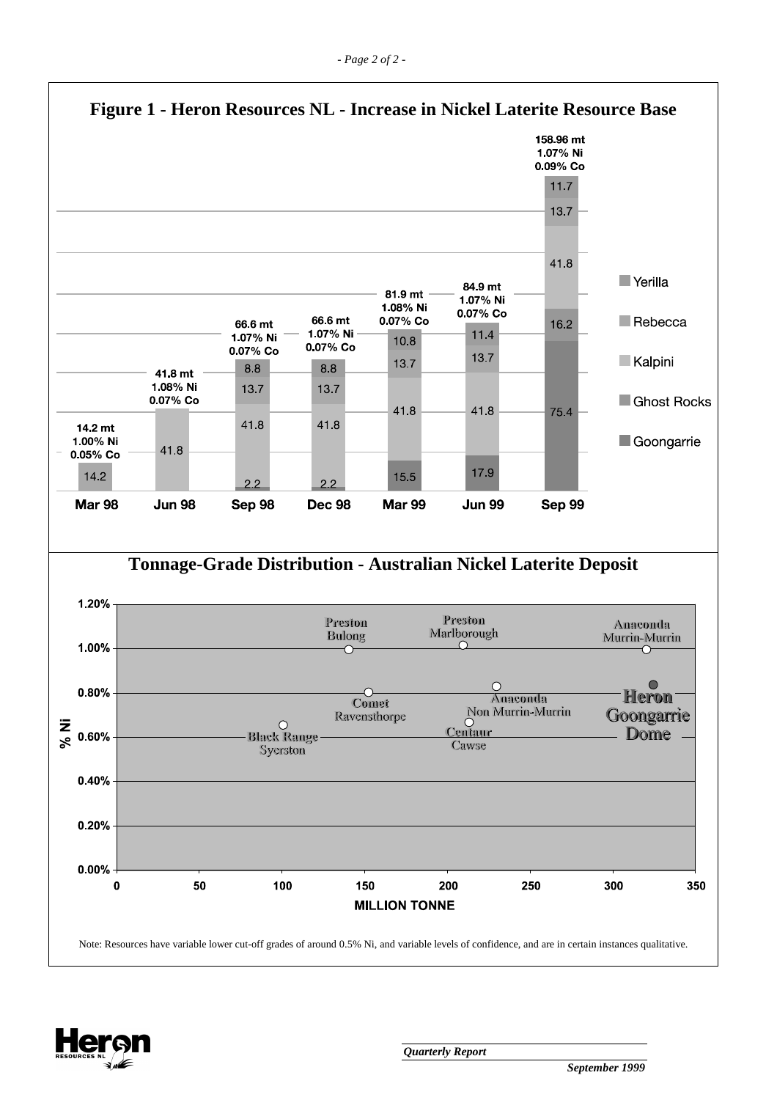

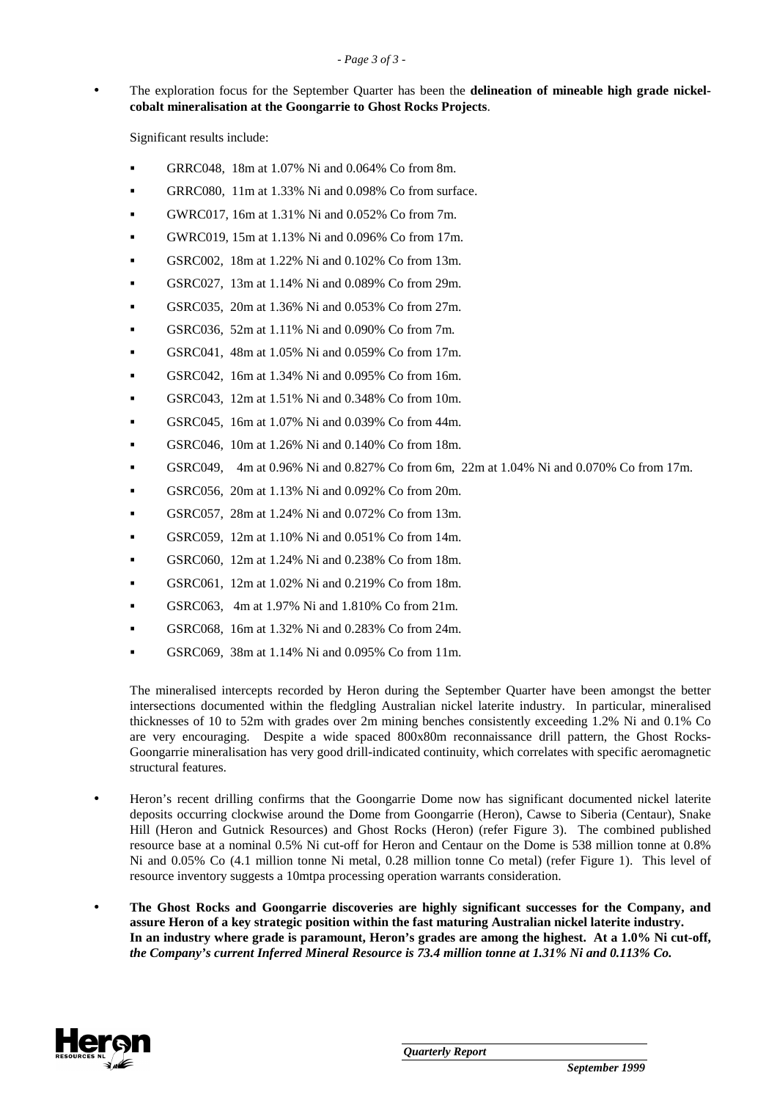• The exploration focus for the September Quarter has been the **delineation of mineable high grade nickelcobalt mineralisation at the Goongarrie to Ghost Rocks Projects**.

Significant results include:

- -GRRC048, 18m at 1.07% Ni and 0.064% Co from 8m.
- -GRRC080, 11m at 1.33% Ni and 0.098% Co from surface.
- -GWRC017, 16m at 1.31% Ni and 0.052% Co from 7m.
- -GWRC019, 15m at 1.13% Ni and 0.096% Co from 17m.
- -GSRC002, 18m at 1.22% Ni and 0.102% Co from 13m.
- -GSRC027, 13m at 1.14% Ni and 0.089% Co from 29m.
- -GSRC035, 20m at 1.36% Ni and 0.053% Co from 27m.
- -GSRC036, 52m at 1.11% Ni and 0.090% Co from 7m.
- -GSRC041, 48m at 1.05% Ni and 0.059% Co from 17m.
- -GSRC042, 16m at 1.34% Ni and 0.095% Co from 16m.
- -GSRC043, 12m at 1.51% Ni and 0.348% Co from 10m.
- -GSRC045, 16m at 1.07% Ni and 0.039% Co from 44m.
- -GSRC046, 10m at 1.26% Ni and 0.140% Co from 18m.
- -GSRC049, 4m at 0.96% Ni and 0.827% Co from 6m, 22m at 1.04% Ni and 0.070% Co from 17m.
- -GSRC056, 20m at 1.13% Ni and 0.092% Co from 20m.
- -GSRC057, 28m at 1.24% Ni and 0.072% Co from 13m.
- -GSRC059, 12m at 1.10% Ni and 0.051% Co from 14m.
- -GSRC060, 12m at 1.24% Ni and 0.238% Co from 18m.
- -GSRC061, 12m at 1.02% Ni and 0.219% Co from 18m.
- -GSRC063, 4m at 1.97% Ni and 1.810% Co from 21m.
- -GSRC068, 16m at 1.32% Ni and 0.283% Co from 24m.
- -GSRC069, 38m at 1.14% Ni and 0.095% Co from 11m.

The mineralised intercepts recorded by Heron during the September Quarter have been amongst the better intersections documented within the fledgling Australian nickel laterite industry. In particular, mineralised thicknesses of 10 to 52m with grades over 2m mining benches consistently exceeding 1.2% Ni and 0.1% Co are very encouraging. Despite a wide spaced 800x80m reconnaissance drill pattern, the Ghost Rocks-Goongarrie mineralisation has very good drill-indicated continuity, which correlates with specific aeromagnetic structural features.

- Heron's recent drilling confirms that the Goongarrie Dome now has significant documented nickel laterite deposits occurring clockwise around the Dome from Goongarrie (Heron), Cawse to Siberia (Centaur), Snake Hill (Heron and Gutnick Resources) and Ghost Rocks (Heron) (refer Figure 3). The combined published resource base at a nominal 0.5% Ni cut-off for Heron and Centaur on the Dome is 538 million tonne at 0.8% Ni and 0.05% Co (4.1 million tonne Ni metal, 0.28 million tonne Co metal) (refer Figure 1). This level of resource inventory suggests a 10mtpa processing operation warrants consideration.
- **The Ghost Rocks and Goongarrie discoveries are highly significant successes for the Company, and assure Heron of a key strategic position within the fast maturing Australian nickel laterite industry. In an industry where grade is paramount, Heron's grades are among the highest. At a 1.0% Ni cut-off,**  *the Company's current Inferred Mineral Resource is 73.4 million tonne at 1.31% Ni and 0.113% Co.*

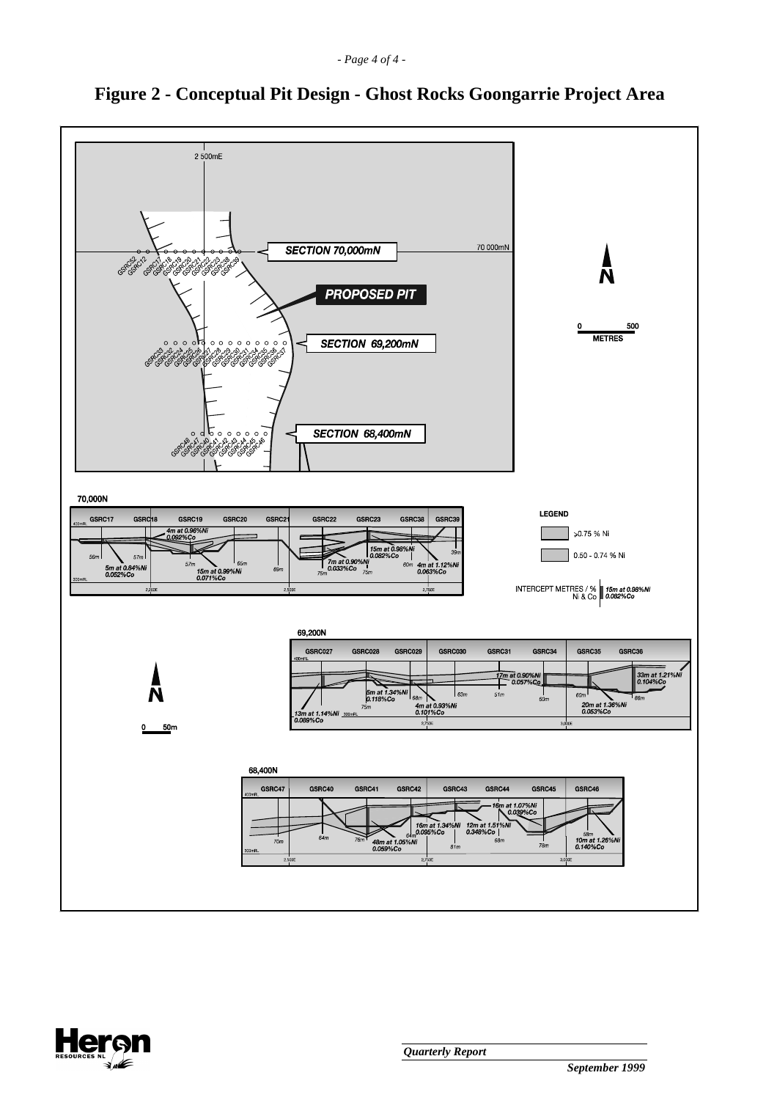

# **Figure 2 - Conceptual Pit Design - Ghost Rocks Goongarrie Project Area**

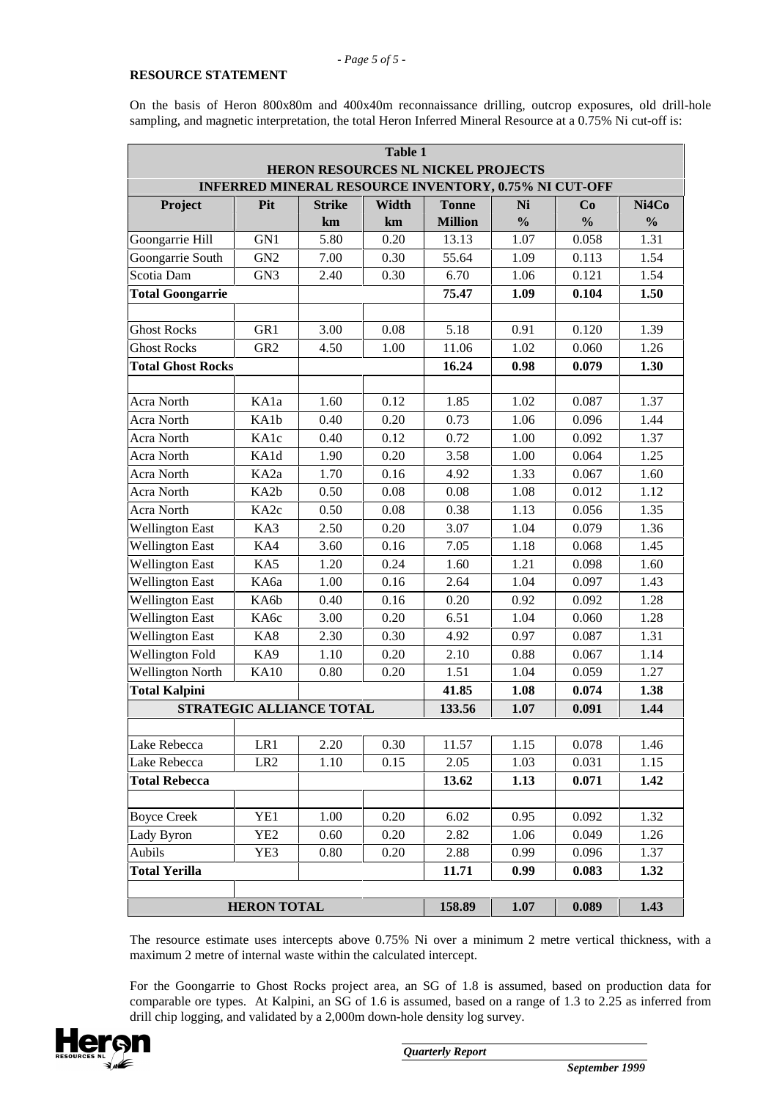#### **RESOURCE STATEMENT**

On the basis of Heron 800x80m and 400x40m reconnaissance drilling, outcrop exposures, old drill-hole sampling, and magnetic interpretation, the total Heron Inferred Mineral Resource at a 0.75% Ni cut-off is:

| Table 1                                                                                            |                    |                          |             |                                |                     |                     |                        |  |
|----------------------------------------------------------------------------------------------------|--------------------|--------------------------|-------------|--------------------------------|---------------------|---------------------|------------------------|--|
| HERON RESOURCES NL NICKEL PROJECTS<br><b>INFERRED MINERAL RESOURCE INVENTORY, 0.75% NI CUT-OFF</b> |                    |                          |             |                                |                     |                     |                        |  |
|                                                                                                    |                    |                          |             |                                |                     |                     |                        |  |
| Project                                                                                            | Pit                | <b>Strike</b><br>km      | Width<br>km | <b>Tonne</b><br><b>Million</b> | Ni<br>$\frac{0}{0}$ | Co<br>$\frac{0}{0}$ | Ni4Co<br>$\frac{0}{0}$ |  |
| Goongarrie Hill                                                                                    | GN1                | 5.80                     | 0.20        | 13.13                          | 1.07                | 0.058               | 1.31                   |  |
| Goongarrie South                                                                                   | GN <sub>2</sub>    | 7.00                     | 0.30        | 55.64                          | 1.09                | 0.113               | 1.54                   |  |
| Scotia Dam                                                                                         | GN <sub>3</sub>    | 2.40                     | 0.30        | 6.70                           | 1.06                | 0.121               | 1.54                   |  |
| <b>Total Goongarrie</b>                                                                            |                    |                          |             | 75.47                          | 1.09                | 0.104               | 1.50                   |  |
|                                                                                                    |                    |                          |             |                                |                     |                     |                        |  |
| <b>Ghost Rocks</b>                                                                                 | GR1                | 3.00                     | 0.08        | 5.18                           | 0.91                | 0.120               | 1.39                   |  |
| <b>Ghost Rocks</b>                                                                                 | GR <sub>2</sub>    | 4.50                     | 1.00        | 11.06                          | 1.02                | 0.060               | 1.26                   |  |
| <b>Total Ghost Rocks</b>                                                                           |                    |                          |             | 16.24                          | 0.98                | 0.079               | 1.30                   |  |
|                                                                                                    |                    |                          |             |                                |                     |                     |                        |  |
| Acra North                                                                                         | KA1a               | 1.60                     | 0.12        | 1.85                           | 1.02                | 0.087               | 1.37                   |  |
| Acra North                                                                                         | KA1b               | 0.40                     | 0.20        | 0.73                           | 1.06                | 0.096               | 1.44                   |  |
| Acra North                                                                                         | KA1c               | 0.40                     | 0.12        | 0.72                           | 1.00                | 0.092               | 1.37                   |  |
| Acra North                                                                                         | KA1d               | 1.90                     | 0.20        | 3.58                           | 1.00                | 0.064               | 1.25                   |  |
| Acra North                                                                                         | KA <sub>2a</sub>   | 1.70                     | 0.16        | 4.92                           | 1.33                | 0.067               | 1.60                   |  |
| Acra North                                                                                         | KA2b               | 0.50                     | 0.08        | 0.08                           | 1.08                | 0.012               | 1.12                   |  |
| Acra North                                                                                         | KA <sub>2c</sub>   | 0.50                     | 0.08        | 0.38                           | 1.13                | 0.056               | 1.35                   |  |
| <b>Wellington East</b>                                                                             | KA3                | 2.50                     | 0.20        | 3.07                           | 1.04                | 0.079               | 1.36                   |  |
| <b>Wellington East</b>                                                                             | KA4                | 3.60                     | 0.16        | 7.05                           | 1.18                | 0.068               | 1.45                   |  |
| <b>Wellington East</b>                                                                             | KA5                | 1.20                     | 0.24        | 1.60                           | 1.21                | 0.098               | 1.60                   |  |
| <b>Wellington East</b>                                                                             | КАба               | 1.00                     | 0.16        | 2.64                           | 1.04                | 0.097               | 1.43                   |  |
| <b>Wellington East</b>                                                                             | KA6b               | 0.40                     | 0.16        | 0.20                           | 0.92                | 0.092               | 1.28                   |  |
| <b>Wellington East</b>                                                                             | КАбс               | 3.00                     | 0.20        | 6.51                           | 1.04                | 0.060               | 1.28                   |  |
| <b>Wellington East</b>                                                                             | KA8                | 2.30                     | 0.30        | 4.92                           | 0.97                | 0.087               | 1.31                   |  |
| <b>Wellington Fold</b>                                                                             | KA9                | 1.10                     | 0.20        | 2.10                           | 0.88                | 0.067               | 1.14                   |  |
| <b>Wellington North</b>                                                                            | <b>KA10</b>        | 0.80                     | 0.20        | 1.51                           | 1.04                | 0.059               | 1.27                   |  |
| <b>Total Kalpini</b>                                                                               |                    |                          |             | 41.85                          | 1.08                | 0.074               | 1.38                   |  |
|                                                                                                    |                    | STRATEGIC ALLIANCE TOTAL |             | 133.56                         | 1.07                | 0.091               | 1.44                   |  |
|                                                                                                    |                    |                          |             |                                |                     |                     |                        |  |
| Lake Rebecca                                                                                       | LR1                | 2.20                     | 0.30        | 11.57                          | 1.15                | 0.078               | 1.46                   |  |
| Lake Rebecca                                                                                       | LR <sub>2</sub>    | 1.10                     | 0.15        | 2.05                           | 1.03                | 0.031               | 1.15                   |  |
| <b>Total Rebecca</b>                                                                               |                    |                          |             | 13.62                          | 1.13                | 0.071               | 1.42                   |  |
|                                                                                                    |                    |                          |             |                                |                     |                     |                        |  |
| <b>Boyce Creek</b>                                                                                 | YE1                | 1.00                     | 0.20        | 6.02                           | 0.95                | 0.092               | 1.32                   |  |
| Lady Byron                                                                                         | YE <sub>2</sub>    | 0.60                     | 0.20        | 2.82                           | 1.06                | 0.049               | 1.26                   |  |
| Aubils                                                                                             | YE3                | 0.80                     | 0.20        | 2.88                           | 0.99                | 0.096               | 1.37                   |  |
| <b>Total Yerilla</b>                                                                               |                    |                          |             | 11.71                          | 0.99                | 0.083               | 1.32                   |  |
|                                                                                                    |                    |                          |             |                                |                     |                     |                        |  |
|                                                                                                    | <b>HERON TOTAL</b> |                          |             | 158.89                         | 1.07                | 0.089               | 1.43                   |  |

The resource estimate uses intercepts above 0.75% Ni over a minimum 2 metre vertical thickness, with a maximum 2 metre of internal waste within the calculated intercept.

For the Goongarrie to Ghost Rocks project area, an SG of 1.8 is assumed, based on production data for comparable ore types. At Kalpini, an SG of 1.6 is assumed, based on a range of 1.3 to 2.25 as inferred from drill chip logging, and validated by a 2,000m down-hole density log survey.

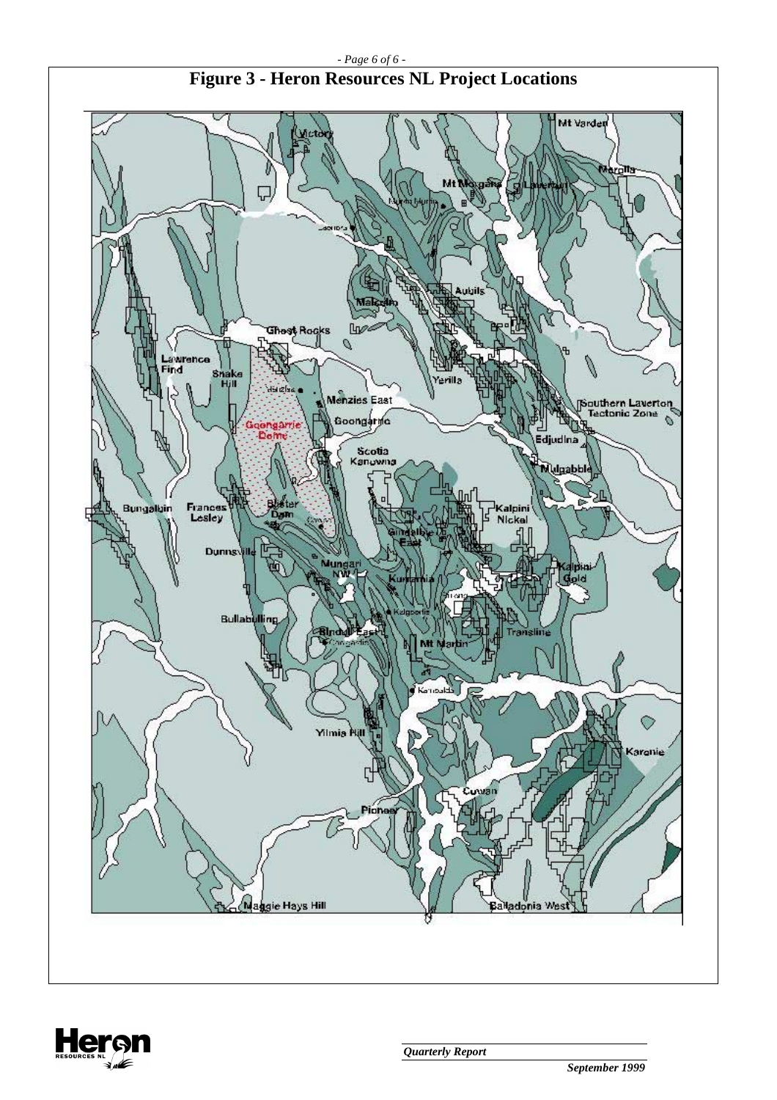

# **Figure 3 - Heron Resources NL Project Locations**

*- Page 6 of 6 -* 

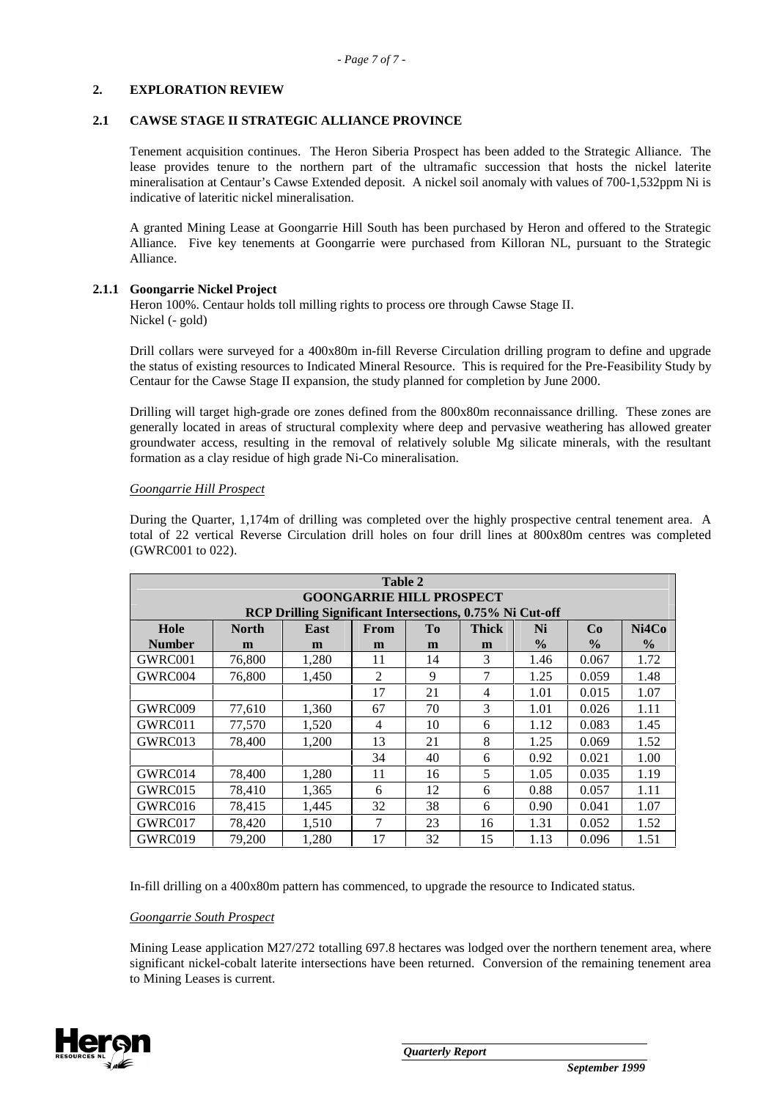#### **2. EXPLORATION REVIEW**

#### **2.1 CAWSE STAGE II STRATEGIC ALLIANCE PROVINCE**

Tenement acquisition continues. The Heron Siberia Prospect has been added to the Strategic Alliance. The lease provides tenure to the northern part of the ultramafic succession that hosts the nickel laterite mineralisation at Centaur's Cawse Extended deposit. A nickel soil anomaly with values of 700-1,532ppm Ni is indicative of lateritic nickel mineralisation.

A granted Mining Lease at Goongarrie Hill South has been purchased by Heron and offered to the Strategic Alliance. Five key tenements at Goongarrie were purchased from Killoran NL, pursuant to the Strategic Alliance.

#### **2.1.1 Goongarrie Nickel Project**

Heron 100%. Centaur holds toll milling rights to process ore through Cawse Stage II. Nickel (- gold)

Drill collars were surveyed for a 400x80m in-fill Reverse Circulation drilling program to define and upgrade the status of existing resources to Indicated Mineral Resource. This is required for the Pre-Feasibility Study by Centaur for the Cawse Stage II expansion, the study planned for completion by June 2000.

Drilling will target high-grade ore zones defined from the 800x80m reconnaissance drilling. These zones are generally located in areas of structural complexity where deep and pervasive weathering has allowed greater groundwater access, resulting in the removal of relatively soluble Mg silicate minerals, with the resultant formation as a clay residue of high grade Ni-Co mineralisation.

#### *Goongarrie Hill Prospect*

During the Quarter, 1,174m of drilling was completed over the highly prospective central tenement area. A total of 22 vertical Reverse Circulation drill holes on four drill lines at 800x80m centres was completed (GWRC001 to 022).

| Table 2<br><b>GOONGARRIE HILL PROSPECT</b> |              |                                                          |        |    |              |               |               |               |  |
|--------------------------------------------|--------------|----------------------------------------------------------|--------|----|--------------|---------------|---------------|---------------|--|
|                                            |              | RCP Drilling Significant Intersections, 0.75% Ni Cut-off |        |    |              |               |               |               |  |
| Hole                                       | <b>North</b> | <b>East</b>                                              | From   | To | <b>Thick</b> | Ni            | Co            | Ni4Co         |  |
| <b>Number</b>                              | m            | m                                                        | m      | m  | m            | $\frac{6}{9}$ | $\frac{0}{0}$ | $\frac{6}{9}$ |  |
| GWRC001                                    | 76,800       | 1,280                                                    | 11     | 14 | 3            | 1.46          | 0.067         | 1.72          |  |
| GWRC004                                    | 76,800       | 1,450                                                    | 2      | 9  | 7            | 1.25          | 0.059         | 1.48          |  |
|                                            |              |                                                          | 17     | 21 | 4            | 1.01          | 0.015         | 1.07          |  |
| GWRC009                                    | 77,610       | 1,360                                                    | 67     | 70 | 3            | 1.01          | 0.026         | 1.11          |  |
| GWRC011                                    | 77,570       | 1,520                                                    | 4      | 10 | 6            | 1.12          | 0.083         | 1.45          |  |
| GWRC013                                    | 78,400       | 1,200                                                    | 13     | 21 | 8            | 1.25          | 0.069         | 1.52          |  |
|                                            |              |                                                          | 34     | 40 | 6            | 0.92          | 0.021         | 1.00          |  |
| GWRC014                                    | 78,400       | 1,280                                                    | 11     | 16 | 5            | 1.05          | 0.035         | 1.19          |  |
| GWRC015                                    | 78,410       | 1,365                                                    | 6      | 12 | 6            | 0.88          | 0.057         | 1.11          |  |
| GWRC016                                    | 78,415       | 1,445                                                    | 32     | 38 | 6            | 0.90          | 0.041         | 1.07          |  |
| GWRC017                                    | 78,420       | 1,510                                                    | $\tau$ | 23 | 16           | 1.31          | 0.052         | 1.52          |  |
| GWRC019                                    | 79,200       | 1.280                                                    | 17     | 32 | 15           | 1.13          | 0.096         | 1.51          |  |

In-fill drilling on a 400x80m pattern has commenced, to upgrade the resource to Indicated status.

#### *Goongarrie South Prospect*

Mining Lease application M27/272 totalling 697.8 hectares was lodged over the northern tenement area, where significant nickel-cobalt laterite intersections have been returned. Conversion of the remaining tenement area to Mining Leases is current.

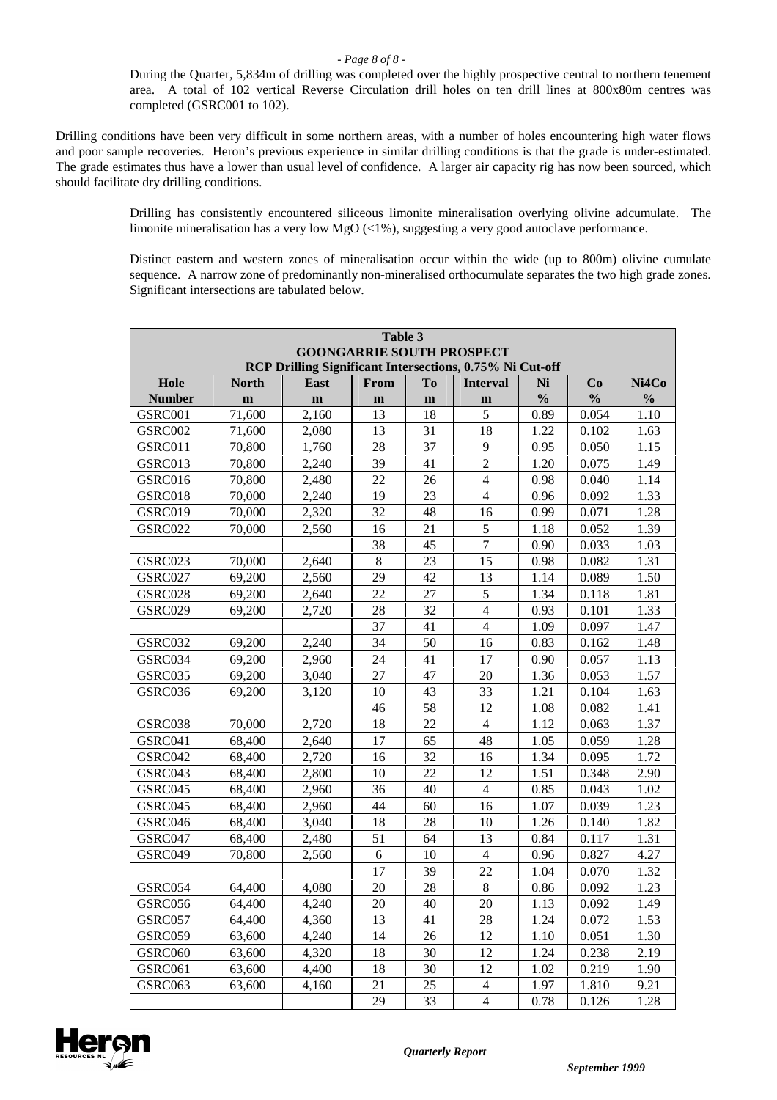During the Quarter, 5,834m of drilling was completed over the highly prospective central to northern tenement area. A total of 102 vertical Reverse Circulation drill holes on ten drill lines at 800x80m centres was completed (GSRC001 to 102).

Drilling conditions have been very difficult in some northern areas, with a number of holes encountering high water flows and poor sample recoveries. Heron's previous experience in similar drilling conditions is that the grade is under-estimated. The grade estimates thus have a lower than usual level of confidence. A larger air capacity rig has now been sourced, which should facilitate dry drilling conditions.

> Drilling has consistently encountered siliceous limonite mineralisation overlying olivine adcumulate. The limonite mineralisation has a very low MgO (<1%), suggesting a very good autoclave performance.

> Distinct eastern and western zones of mineralisation occur within the wide (up to 800m) olivine cumulate sequence. A narrow zone of predominantly non-mineralised orthocumulate separates the two high grade zones. Significant intersections are tabulated below.

| Table 3<br><b>GOONGARRIE SOUTH PROSPECT</b>              |              |             |              |                |                  |               |               |               |
|----------------------------------------------------------|--------------|-------------|--------------|----------------|------------------|---------------|---------------|---------------|
| RCP Drilling Significant Intersections, 0.75% Ni Cut-off |              |             |              |                |                  |               |               |               |
| Hole                                                     | <b>North</b> | <b>East</b> | From         | T <sub>o</sub> | <b>Interval</b>  | Ni            | Co            | Ni4Co         |
| <b>Number</b>                                            | m            | $\mathbf m$ | $\mathbf{m}$ | m              | m                | $\frac{0}{0}$ | $\frac{0}{0}$ | $\frac{0}{0}$ |
| GSRC001                                                  | 71,600       | 2,160       | 13           | 18             | 5                | 0.89          | 0.054         | 1.10          |
| GSRC002                                                  | 71,600       | 2,080       | 13           | 31             | 18               | 1.22          | 0.102         | 1.63          |
| GSRC011                                                  | 70,800       | 1,760       | 28           | 37             | 9                | 0.95          | 0.050         | 1.15          |
| GSRC013                                                  | 70,800       | 2,240       | 39           | 41             | $\overline{2}$   | 1.20          | 0.075         | 1.49          |
| GSRC016                                                  | 70,800       | 2,480       | 22           | 26             | $\overline{4}$   | 0.98          | 0.040         | 1.14          |
| GSRC018                                                  | 70,000       | 2,240       | 19           | 23             | $\overline{4}$   | 0.96          | 0.092         | 1.33          |
| GSRC019                                                  | 70,000       | 2,320       | 32           | 48             | 16               | 0.99          | 0.071         | 1.28          |
| GSRC022                                                  | 70,000       | 2,560       | 16           | 21             | 5                | 1.18          | 0.052         | 1.39          |
|                                                          |              |             | 38           | 45             | $\boldsymbol{7}$ | 0.90          | 0.033         | 1.03          |
| GSRC023                                                  | 70,000       | 2,640       | $\,8\,$      | 23             | 15               | 0.98          | 0.082         | 1.31          |
| GSRC027                                                  | 69,200       | 2,560       | 29           | 42             | 13               | 1.14          | 0.089         | 1.50          |
| GSRC028                                                  | 69,200       | 2,640       | 22           | 27             | $\sqrt{5}$       | 1.34          | 0.118         | 1.81          |
| GSRC029                                                  | 69,200       | 2,720       | 28           | 32             | $\overline{4}$   | 0.93          | 0.101         | 1.33          |
|                                                          |              |             | 37           | 41             | $\overline{4}$   | 1.09          | 0.097         | 1.47          |
| GSRC032                                                  | 69,200       | 2,240       | 34           | 50             | 16               | 0.83          | 0.162         | 1.48          |
| GSRC034                                                  | 69,200       | 2,960       | 24           | 41             | 17               | 0.90          | 0.057         | 1.13          |
| GSRC035                                                  | 69,200       | 3,040       | 27           | 47             | 20               | 1.36          | 0.053         | 1.57          |
| GSRC036                                                  | 69,200       | 3,120       | 10           | 43             | 33               | 1.21          | 0.104         | 1.63          |
|                                                          |              |             | 46           | 58             | 12               | 1.08          | 0.082         | 1.41          |
| GSRC038                                                  | 70,000       | 2,720       | 18           | 22             | $\overline{4}$   | 1.12          | 0.063         | 1.37          |
| GSRC041                                                  | 68,400       | 2,640       | 17           | 65             | 48               | 1.05          | 0.059         | 1.28          |
| GSRC042                                                  | 68,400       | 2,720       | 16           | 32             | 16               | 1.34          | 0.095         | 1.72          |
| GSRC043                                                  | 68,400       | 2,800       | 10           | 22             | 12               | 1.51          | 0.348         | 2.90          |
| GSRC045                                                  | 68,400       | 2,960       | 36           | 40             | $\overline{4}$   | 0.85          | 0.043         | 1.02          |
| GSRC045                                                  | 68,400       | 2,960       | 44           | 60             | 16               | 1.07          | 0.039         | 1.23          |
| GSRC046                                                  | 68,400       | 3,040       | 18           | 28             | 10               | 1.26          | 0.140         | 1.82          |
| GSRC047                                                  | 68,400       | 2,480       | 51           | 64             | 13               | 0.84          | 0.117         | 1.31          |
| GSRC049                                                  | 70,800       | 2,560       | 6            | 10             | $\overline{4}$   | 0.96          | 0.827         | 4.27          |
|                                                          |              |             | 17           | 39             | 22               | 1.04          | 0.070         | 1.32          |
| GSRC054                                                  | 64,400       | 4,080       | 20           | 28             | $\,8\,$          | 0.86          | 0.092         | 1.23          |
| GSRC056                                                  | 64,400       | 4,240       | 20           | 40             | 20               | 1.13          | 0.092         | 1.49          |
| GSRC057                                                  | 64,400       | 4,360       | 13           | 41             | 28               | 1.24          | 0.072         | 1.53          |
| GSRC059                                                  | 63,600       | 4,240       | 14           | 26             | 12               | 1.10          | 0.051         | 1.30          |
| GSRC060                                                  | 63,600       | 4,320       | 18           | 30             | 12               | 1.24          | 0.238         | 2.19          |
| GSRC061                                                  | 63,600       | 4,400       | 18           | 30             | 12               | 1.02          | 0.219         | 1.90          |
| GSRC063                                                  | 63,600       | 4,160       | 21           | 25             | 4                | 1.97          | 1.810         | 9.21          |
|                                                          |              |             | 29           | 33             | 4                | 0.78          | 0.126         | 1.28          |

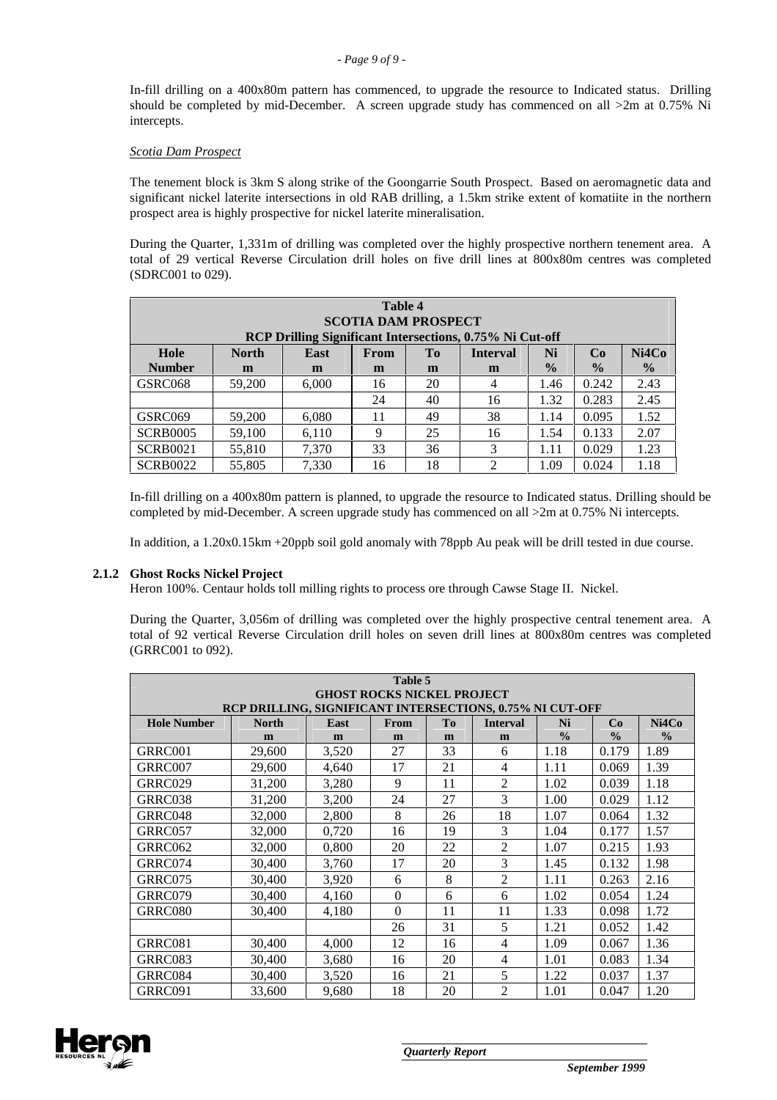In-fill drilling on a 400x80m pattern has commenced, to upgrade the resource to Indicated status. Drilling should be completed by mid-December. A screen upgrade study has commenced on all  $>2m$  at 0.75% Ni intercepts.

#### *Scotia Dam Prospect*

The tenement block is 3km S along strike of the Goongarrie South Prospect. Based on aeromagnetic data and significant nickel laterite intersections in old RAB drilling, a 1.5km strike extent of komatiite in the northern prospect area is highly prospective for nickel laterite mineralisation.

During the Quarter, 1,331m of drilling was completed over the highly prospective northern tenement area. A total of 29 vertical Reverse Circulation drill holes on five drill lines at 800x80m centres was completed (SDRC001 to 029).

| Table 4<br><b>SCOTIA DAM PROSPECT</b><br>RCP Drilling Significant Intersections, 0.75% Ni Cut-off |                                                                          |       |    |    |                             |      |       |      |
|---------------------------------------------------------------------------------------------------|--------------------------------------------------------------------------|-------|----|----|-----------------------------|------|-------|------|
| Ni4Co<br>Hole<br>Ni<br>Co<br><b>North</b><br><b>Interval</b><br>East<br>Tо<br><b>From</b>         |                                                                          |       |    |    |                             |      |       |      |
| <b>Number</b>                                                                                     | $\frac{0}{0}$<br>$\frac{0}{2}$<br>$\frac{0}{0}$<br>m<br>m<br>m<br>m<br>m |       |    |    |                             |      |       |      |
| GSRC068                                                                                           | 59,200                                                                   | 6,000 | 16 | 20 | 4                           | 1.46 | 0.242 | 2.43 |
|                                                                                                   |                                                                          |       | 24 | 40 | 16                          | 1.32 | 0.283 | 2.45 |
| GSRC069                                                                                           | 59,200                                                                   | 6,080 | 11 | 49 | 38                          | 1.14 | 0.095 | 1.52 |
| <b>SCRB0005</b>                                                                                   | 59.100                                                                   | 6.110 | 9  | 25 | 16                          | 1.54 | 0.133 | 2.07 |
| <b>SCRB0021</b>                                                                                   | 55,810                                                                   | 7.370 | 33 | 36 | 3                           | 1.11 | 0.029 | 1.23 |
| <b>SCRB0022</b>                                                                                   | 55,805                                                                   | 7.330 | 16 | 18 | $\mathcal{D}_{\mathcal{L}}$ | 1.09 | 0.024 | 1.18 |

In-fill drilling on a 400x80m pattern is planned, to upgrade the resource to Indicated status. Drilling should be completed by mid-December. A screen upgrade study has commenced on all  $>2m$  at 0.75% Ni intercepts.

In addition, a 1.20x0.15km +20ppb soil gold anomaly with 78ppb Au peak will be drill tested in due course.

# **2.1.2 Ghost Rocks Nickel Project**

Heron 100%. Centaur holds toll milling rights to process ore through Cawse Stage II. Nickel.

During the Quarter, 3,056m of drilling was completed over the highly prospective central tenement area. A total of 92 vertical Reverse Circulation drill holes on seven drill lines at 800x80m centres was completed (GRRC001 to 092).

| Table 5                                                   |              |       |          |           |                 |               |               |               |  |  |
|-----------------------------------------------------------|--------------|-------|----------|-----------|-----------------|---------------|---------------|---------------|--|--|
| <b>GHOST ROCKS NICKEL PROJECT</b>                         |              |       |          |           |                 |               |               |               |  |  |
| RCP DRILLING, SIGNIFICANT INTERSECTIONS, 0.75% NI CUT-OFF |              |       |          |           |                 |               |               |               |  |  |
| <b>Hole Number</b>                                        | <b>North</b> | East  | From     | <b>To</b> | <b>Interval</b> | Ni            | Co            | Ni4Co         |  |  |
|                                                           | m            | m     | m        | m         | m               | $\frac{0}{0}$ | $\frac{0}{0}$ | $\frac{0}{0}$ |  |  |
| GRRC001                                                   | 29,600       | 3,520 | 27       | 33        | 6               | 1.18          | 0.179         | 1.89          |  |  |
| GRRC007                                                   | 29,600       | 4,640 | 17       | 21        | $\overline{4}$  | 1.11          | 0.069         | 1.39          |  |  |
| GRRC029                                                   | 31,200       | 3,280 | 9        | 11        | $\overline{2}$  | 1.02          | 0.039         | 1.18          |  |  |
| GRRC038                                                   | 31,200       | 3,200 | 24       | 27        | 3               | 1.00          | 0.029         | 1.12          |  |  |
| GRRC048                                                   | 32,000       | 2,800 | 8        | 26        | 18              | 1.07          | 0.064         | 1.32          |  |  |
| GRRC057                                                   | 32,000       | 0,720 | 16       | 19        | 3               | 1.04          | 0.177         | 1.57          |  |  |
| GRRC062                                                   | 32,000       | 0,800 | 20       | 22        | $\overline{2}$  | 1.07          | 0.215         | 1.93          |  |  |
| GRRC074                                                   | 30,400       | 3,760 | 17       | 20        | 3               | 1.45          | 0.132         | 1.98          |  |  |
| GRRC075                                                   | 30,400       | 3,920 | 6        | 8         | $\overline{2}$  | 1.11          | 0.263         | 2.16          |  |  |
| GRRC079                                                   | 30,400       | 4,160 | $\theta$ | 6         | 6               | 1.02          | 0.054         | 1.24          |  |  |
| GRRC080                                                   | 30,400       | 4,180 | $\theta$ | 11        | 11              | 1.33          | 0.098         | 1.72          |  |  |
|                                                           |              |       | 26       | 31        | 5               | 1.21          | 0.052         | 1.42          |  |  |
| GRRC081                                                   | 30,400       | 4,000 | 12       | 16        | 4               | 1.09          | 0.067         | 1.36          |  |  |
| GRRC083                                                   | 30,400       | 3,680 | 16       | 20        | $\overline{4}$  | 1.01          | 0.083         | 1.34          |  |  |
| GRRC084                                                   | 30,400       | 3,520 | 16       | 21        | 5               | 1.22          | 0.037         | 1.37          |  |  |
| GRRC091                                                   | 33,600       | 9,680 | 18       | 20        | $\overline{2}$  | 1.01          | 0.047         | 1.20          |  |  |

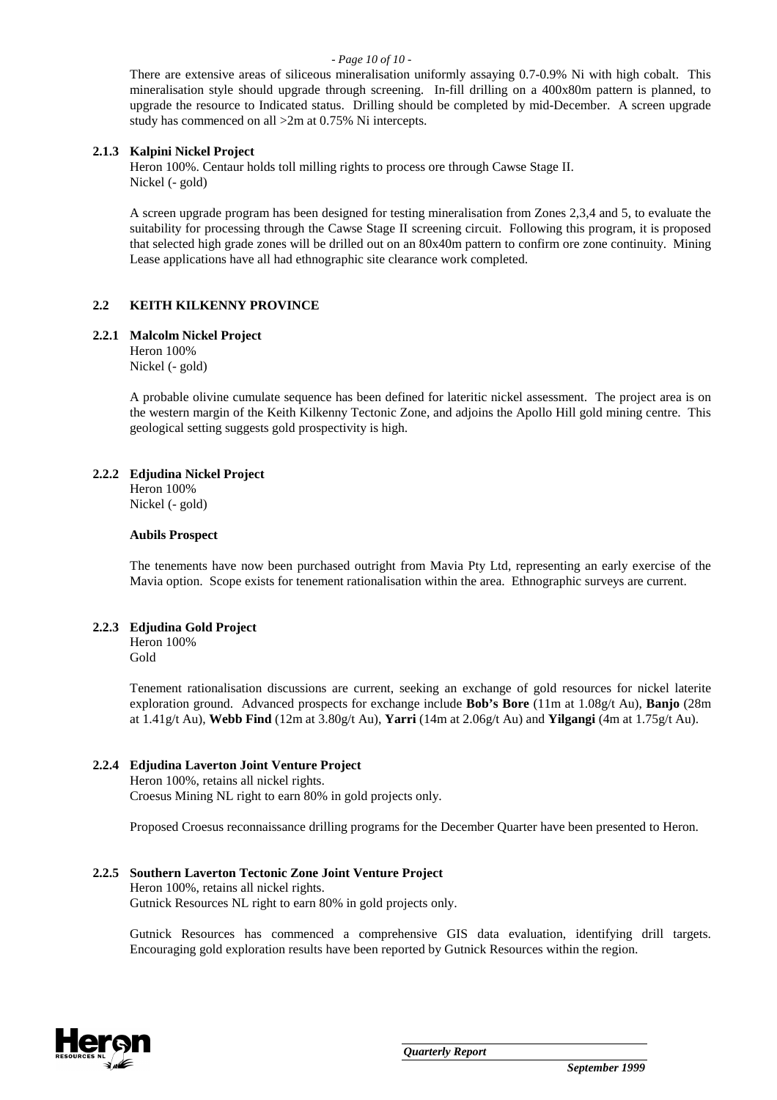#### *- Page 10 of 10 -*

There are extensive areas of siliceous mineralisation uniformly assaying 0.7-0.9% Ni with high cobalt. This mineralisation style should upgrade through screening. In-fill drilling on a 400x80m pattern is planned, to upgrade the resource to Indicated status. Drilling should be completed by mid-December. A screen upgrade study has commenced on all >2m at 0.75% Ni intercepts.

#### **2.1.3 Kalpini Nickel Project**

Heron 100%. Centaur holds toll milling rights to process ore through Cawse Stage II. Nickel (- gold)

A screen upgrade program has been designed for testing mineralisation from Zones 2,3,4 and 5, to evaluate the suitability for processing through the Cawse Stage II screening circuit. Following this program, it is proposed that selected high grade zones will be drilled out on an 80x40m pattern to confirm ore zone continuity. Mining Lease applications have all had ethnographic site clearance work completed.

#### **2.2 KEITH KILKENNY PROVINCE**

#### **2.2.1 Malcolm Nickel Project**

Heron 100% Nickel (- gold)

A probable olivine cumulate sequence has been defined for lateritic nickel assessment. The project area is on the western margin of the Keith Kilkenny Tectonic Zone, and adjoins the Apollo Hill gold mining centre. This geological setting suggests gold prospectivity is high.

#### **2.2.2 Edjudina Nickel Project**

Heron 100% Nickel (- gold)

#### **Aubils Prospect**

The tenements have now been purchased outright from Mavia Pty Ltd, representing an early exercise of the Mavia option. Scope exists for tenement rationalisation within the area. Ethnographic surveys are current.

#### **2.2.3 Edjudina Gold Project**

Heron 100% Gold

Tenement rationalisation discussions are current, seeking an exchange of gold resources for nickel laterite exploration ground. Advanced prospects for exchange include **Bob's Bore** (11m at 1.08g/t Au), **Banjo** (28m at 1.41g/t Au), **Webb Find** (12m at 3.80g/t Au), **Yarri** (14m at 2.06g/t Au) and **Yilgangi** (4m at 1.75g/t Au).

#### **2.2.4 Edjudina Laverton Joint Venture Project**

Heron 100%, retains all nickel rights. Croesus Mining NL right to earn 80% in gold projects only.

Proposed Croesus reconnaissance drilling programs for the December Quarter have been presented to Heron.

#### **2.2.5 Southern Laverton Tectonic Zone Joint Venture Project**

Heron 100%, retains all nickel rights. Gutnick Resources NL right to earn 80% in gold projects only.

Gutnick Resources has commenced a comprehensive GIS data evaluation, identifying drill targets. Encouraging gold exploration results have been reported by Gutnick Resources within the region.

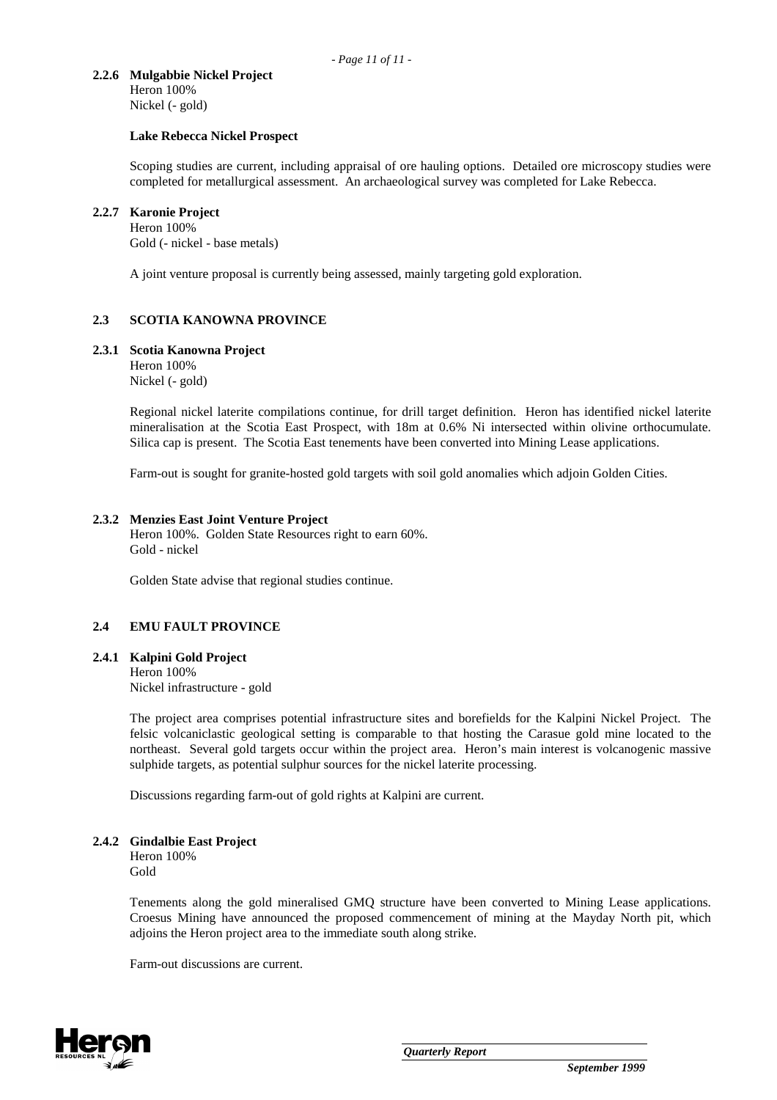#### **2.2.6 Mulgabbie Nickel Project**  Heron 100%

Nickel (- gold)

#### **Lake Rebecca Nickel Prospect**

Scoping studies are current, including appraisal of ore hauling options. Detailed ore microscopy studies were completed for metallurgical assessment. An archaeological survey was completed for Lake Rebecca.

#### **2.2.7 Karonie Project**

Heron 100%

Gold (- nickel - base metals)

A joint venture proposal is currently being assessed, mainly targeting gold exploration.

### **2.3 SCOTIA KANOWNA PROVINCE**

#### **2.3.1 Scotia Kanowna Project**

Heron 100% Nickel (- gold)

Regional nickel laterite compilations continue, for drill target definition. Heron has identified nickel laterite mineralisation at the Scotia East Prospect, with 18m at 0.6% Ni intersected within olivine orthocumulate. Silica cap is present. The Scotia East tenements have been converted into Mining Lease applications.

Farm-out is sought for granite-hosted gold targets with soil gold anomalies which adjoin Golden Cities.

#### **2.3.2 Menzies East Joint Venture Project**

Heron 100%. Golden State Resources right to earn 60%. Gold - nickel

Golden State advise that regional studies continue.

#### **2.4 EMU FAULT PROVINCE**

#### **2.4.1 Kalpini Gold Project**

Heron 100% Nickel infrastructure - gold

The project area comprises potential infrastructure sites and borefields for the Kalpini Nickel Project. The felsic volcaniclastic geological setting is comparable to that hosting the Carasue gold mine located to the northeast. Several gold targets occur within the project area. Heron's main interest is volcanogenic massive sulphide targets, as potential sulphur sources for the nickel laterite processing.

Discussions regarding farm-out of gold rights at Kalpini are current.

#### **2.4.2 Gindalbie East Project**

Heron 100% Gold

Tenements along the gold mineralised GMQ structure have been converted to Mining Lease applications. Croesus Mining have announced the proposed commencement of mining at the Mayday North pit, which adjoins the Heron project area to the immediate south along strike.

Farm-out discussions are current.

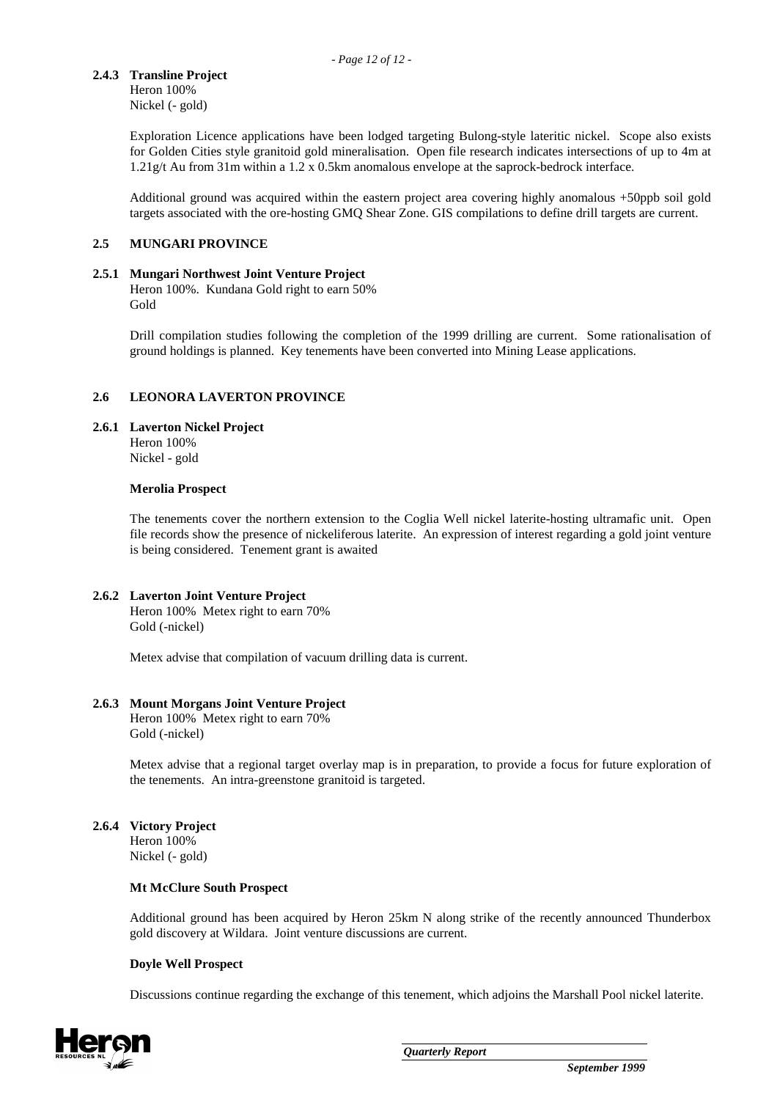# **2.4.3 Transline Project**

Heron 100% Nickel (- gold)

Exploration Licence applications have been lodged targeting Bulong-style lateritic nickel. Scope also exists for Golden Cities style granitoid gold mineralisation. Open file research indicates intersections of up to 4m at 1.21g/t Au from 31m within a 1.2 x 0.5km anomalous envelope at the saprock-bedrock interface.

Additional ground was acquired within the eastern project area covering highly anomalous +50ppb soil gold targets associated with the ore-hosting GMQ Shear Zone. GIS compilations to define drill targets are current.

### **2.5 MUNGARI PROVINCE**

#### **2.5.1 Mungari Northwest Joint Venture Project**

Heron 100%. Kundana Gold right to earn 50% Gold

Drill compilation studies following the completion of the 1999 drilling are current. Some rationalisation of ground holdings is planned. Key tenements have been converted into Mining Lease applications.

### **2.6 LEONORA LAVERTON PROVINCE**

#### **2.6.1 Laverton Nickel Project**

Heron 100% Nickel - gold

#### **Merolia Prospect**

The tenements cover the northern extension to the Coglia Well nickel laterite-hosting ultramafic unit. Open file records show the presence of nickeliferous laterite. An expression of interest regarding a gold joint venture is being considered. Tenement grant is awaited

#### **2.6.2 Laverton Joint Venture Project**

Heron 100% Metex right to earn 70% Gold (-nickel)

Metex advise that compilation of vacuum drilling data is current.

#### **2.6.3 Mount Morgans Joint Venture Project**

Heron 100% Metex right to earn 70% Gold (-nickel)

Metex advise that a regional target overlay map is in preparation, to provide a focus for future exploration of the tenements. An intra-greenstone granitoid is targeted.

# **2.6.4 Victory Project**

Heron 100% Nickel (- gold)

#### **Mt McClure South Prospect**

Additional ground has been acquired by Heron 25km N along strike of the recently announced Thunderbox gold discovery at Wildara. Joint venture discussions are current.

#### **Doyle Well Prospect**

Discussions continue regarding the exchange of this tenement, which adjoins the Marshall Pool nickel laterite.

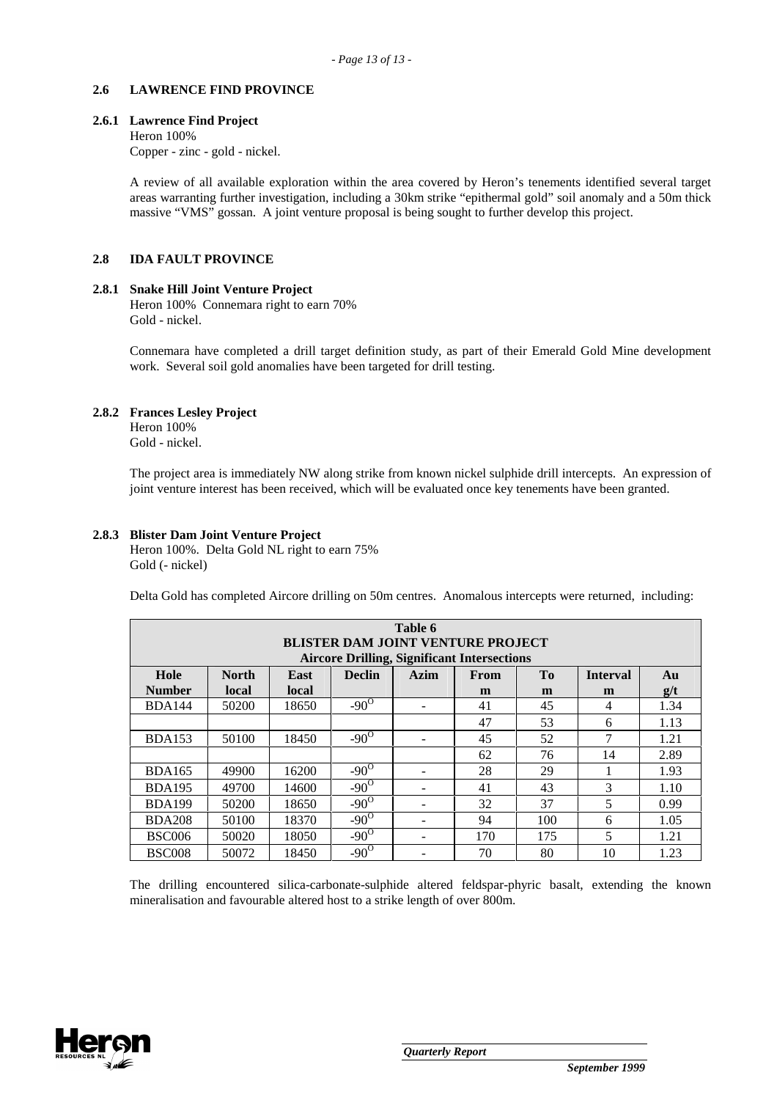#### **2.6 LAWRENCE FIND PROVINCE**

#### **2.6.1 Lawrence Find Project**

Heron 100%

Copper - zinc - gold - nickel.

A review of all available exploration within the area covered by Heron's tenements identified several target areas warranting further investigation, including a 30km strike "epithermal gold" soil anomaly and a 50m thick massive "VMS" gossan. A joint venture proposal is being sought to further develop this project.

#### **2.8 IDA FAULT PROVINCE**

#### **2.8.1 Snake Hill Joint Venture Project**

Heron 100% Connemara right to earn 70% Gold - nickel.

Connemara have completed a drill target definition study, as part of their Emerald Gold Mine development work. Several soil gold anomalies have been targeted for drill testing.

### **2.8.2 Frances Lesley Project**

Heron 100% Gold - nickel.

The project area is immediately NW along strike from known nickel sulphide drill intercepts. An expression of joint venture interest has been received, which will be evaluated once key tenements have been granted.

#### **2.8.3 Blister Dam Joint Venture Project**

Heron 100%. Delta Gold NL right to earn 75% Gold (- nickel)

Delta Gold has completed Aircore drilling on 50m centres. Anomalous intercepts were returned, including:

| Table 6<br><b>BLISTER DAM JOINT VENTURE PROJECT</b><br><b>Aircore Drilling, Significant Intersections</b> |              |       |               |                          |             |                |                 |      |  |
|-----------------------------------------------------------------------------------------------------------|--------------|-------|---------------|--------------------------|-------------|----------------|-----------------|------|--|
| Hole                                                                                                      | <b>North</b> | East  | <b>Declin</b> | Azim                     | <b>From</b> | T <sub>0</sub> | <b>Interval</b> | Au   |  |
| <b>Number</b>                                                                                             | local        | local |               |                          | m           | m              | m               | g/t  |  |
| <b>BDA144</b>                                                                                             | 50200        | 18650 | $-90^\circ$   |                          | 41          | 45             | 4               | 1.34 |  |
|                                                                                                           |              |       |               |                          | 47          | 53             | 6               | 1.13 |  |
| <b>BDA153</b>                                                                                             | 50100        | 18450 | $-90^{\circ}$ |                          | 45          | 52             | 7               | 1.21 |  |
|                                                                                                           |              |       |               |                          | 62          | 76             | 14              | 2.89 |  |
| <b>BDA165</b>                                                                                             | 49900        | 16200 | $-90^\circ$   |                          | 28          | 29             |                 | 1.93 |  |
| <b>BDA195</b>                                                                                             | 49700        | 14600 | $-90^\circ$   | $\overline{\phantom{0}}$ | 41          | 43             | 3               | 1.10 |  |
| <b>BDA199</b>                                                                                             | 50200        | 18650 | $-90^\circ$   |                          | 32          | 37             | 5               | 0.99 |  |
| <b>BDA208</b>                                                                                             | 50100        | 18370 | $-90^\circ$   | $\overline{\phantom{0}}$ | 94          | 100            | 6               | 1.05 |  |
| <b>BSC006</b>                                                                                             | 50020        | 18050 | $-90^\circ$   | $\overline{\phantom{a}}$ | 170         | 175            | 5               | 1.21 |  |
| <b>BSC008</b>                                                                                             | 50072        | 18450 | $-90^\circ$   |                          | 70          | 80             | 10              | 1.23 |  |

The drilling encountered silica-carbonate-sulphide altered feldspar-phyric basalt, extending the known mineralisation and favourable altered host to a strike length of over 800m.

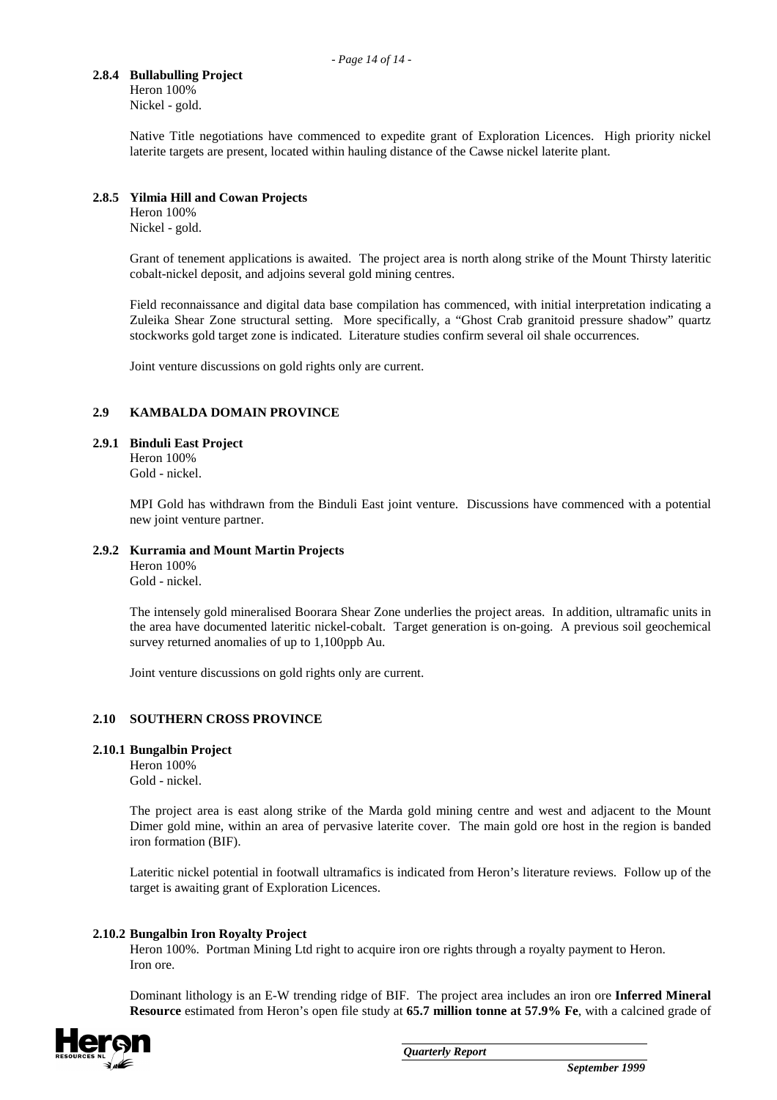# **2.8.4 Bullabulling Project**

Heron 100% Nickel - gold.

Native Title negotiations have commenced to expedite grant of Exploration Licences. High priority nickel laterite targets are present, located within hauling distance of the Cawse nickel laterite plant.

### **2.8.5 Yilmia Hill and Cowan Projects**

Heron 100% Nickel - gold.

Grant of tenement applications is awaited. The project area is north along strike of the Mount Thirsty lateritic cobalt-nickel deposit, and adjoins several gold mining centres.

Field reconnaissance and digital data base compilation has commenced, with initial interpretation indicating a Zuleika Shear Zone structural setting. More specifically, a "Ghost Crab granitoid pressure shadow" quartz stockworks gold target zone is indicated. Literature studies confirm several oil shale occurrences.

Joint venture discussions on gold rights only are current.

# **2.9 KAMBALDA DOMAIN PROVINCE**

#### **2.9.1 Binduli East Project**

Heron 100% Gold - nickel.

MPI Gold has withdrawn from the Binduli East joint venture. Discussions have commenced with a potential new joint venture partner.

#### **2.9.2 Kurramia and Mount Martin Projects**

Heron 100% Gold - nickel.

The intensely gold mineralised Boorara Shear Zone underlies the project areas. In addition, ultramafic units in the area have documented lateritic nickel-cobalt. Target generation is on-going. A previous soil geochemical survey returned anomalies of up to 1,100ppb Au.

Joint venture discussions on gold rights only are current.

#### **2.10 SOUTHERN CROSS PROVINCE**

#### **2.10.1 Bungalbin Project**

Heron 100% Gold - nickel.

The project area is east along strike of the Marda gold mining centre and west and adjacent to the Mount Dimer gold mine, within an area of pervasive laterite cover. The main gold ore host in the region is banded iron formation (BIF).

Lateritic nickel potential in footwall ultramafics is indicated from Heron's literature reviews. Follow up of the target is awaiting grant of Exploration Licences.

# **2.10.2 Bungalbin Iron Royalty Project**

Heron 100%. Portman Mining Ltd right to acquire iron ore rights through a royalty payment to Heron. Iron ore.

Dominant lithology is an E-W trending ridge of BIF. The project area includes an iron ore **Inferred Mineral Resource** estimated from Heron's open file study at **65.7 million tonne at 57.9% Fe**, with a calcined grade of

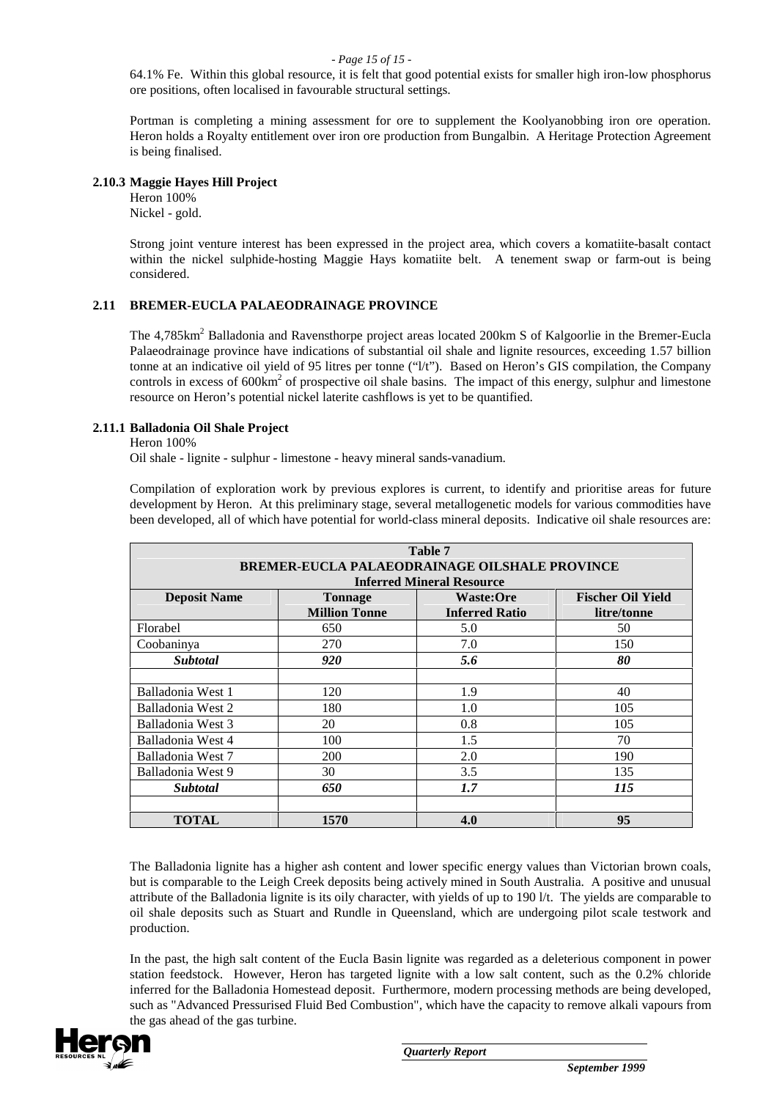#### *- Page 15 of 15 -*

64.1% Fe. Within this global resource, it is felt that good potential exists for smaller high iron-low phosphorus ore positions, often localised in favourable structural settings.

Portman is completing a mining assessment for ore to supplement the Koolyanobbing iron ore operation. Heron holds a Royalty entitlement over iron ore production from Bungalbin. A Heritage Protection Agreement is being finalised.

### **2.10.3 Maggie Hayes Hill Project**

Heron 100% Nickel - gold.

Strong joint venture interest has been expressed in the project area, which covers a komatiite-basalt contact within the nickel sulphide-hosting Maggie Hays komatiite belt. A tenement swap or farm-out is being considered.

# **2.11 BREMER-EUCLA PALAEODRAINAGE PROVINCE**

The 4,785km<sup>2</sup> Balladonia and Ravensthorpe project areas located 200km S of Kalgoorlie in the Bremer-Eucla Palaeodrainage province have indications of substantial oil shale and lignite resources, exceeding 1.57 billion tonne at an indicative oil yield of 95 litres per tonne ("l/t"). Based on Heron's GIS compilation, the Company controls in excess of  $600 \text{km}^2$  of prospective oil shale basins. The impact of this energy, sulphur and limestone resource on Heron's potential nickel laterite cashflows is yet to be quantified.

### **2.11.1 Balladonia Oil Shale Project**

Heron 100%

Oil shale - lignite - sulphur - limestone - heavy mineral sands-vanadium.

Compilation of exploration work by previous explores is current, to identify and prioritise areas for future development by Heron. At this preliminary stage, several metallogenetic models for various commodities have been developed, all of which have potential for world-class mineral deposits. Indicative oil shale resources are:

| Table 7                                              |                      |                                  |                          |  |  |  |  |  |
|------------------------------------------------------|----------------------|----------------------------------|--------------------------|--|--|--|--|--|
| <b>BREMER-EUCLA PALAEODRAINAGE OILSHALE PROVINCE</b> |                      |                                  |                          |  |  |  |  |  |
|                                                      |                      | <b>Inferred Mineral Resource</b> |                          |  |  |  |  |  |
| <b>Deposit Name</b>                                  | <b>Tonnage</b>       | <b>Waste:Ore</b>                 | <b>Fischer Oil Yield</b> |  |  |  |  |  |
|                                                      | <b>Million Tonne</b> | <b>Inferred Ratio</b>            | litre/tonne              |  |  |  |  |  |
| Florabel                                             | 650                  | 5.0                              | 50                       |  |  |  |  |  |
| Coobaninya                                           | 270                  | 7.0                              | 150                      |  |  |  |  |  |
| <b>Subtotal</b>                                      | 920                  | 5.6                              | 80                       |  |  |  |  |  |
|                                                      |                      |                                  |                          |  |  |  |  |  |
| Balladonia West 1                                    | 120                  | 1.9                              | 40                       |  |  |  |  |  |
| Balladonia West 2                                    | 180                  | 1.0                              | 105                      |  |  |  |  |  |
| Balladonia West 3                                    | 20                   | 0.8                              | 105                      |  |  |  |  |  |
| Balladonia West 4                                    | 100                  | 1.5                              | 70                       |  |  |  |  |  |
| Balladonia West 7                                    | 200                  | 2.0                              | 190                      |  |  |  |  |  |
| Balladonia West 9                                    | 30                   | 3.5                              | 135                      |  |  |  |  |  |
| <b>Subtotal</b>                                      | 650                  | 1.7                              | <i>115</i>               |  |  |  |  |  |
|                                                      |                      |                                  |                          |  |  |  |  |  |
| <b>TOTAL</b>                                         | 1570                 | 4.0                              | 95                       |  |  |  |  |  |

The Balladonia lignite has a higher ash content and lower specific energy values than Victorian brown coals, but is comparable to the Leigh Creek deposits being actively mined in South Australia. A positive and unusual attribute of the Balladonia lignite is its oily character, with yields of up to 190 l/t. The yields are comparable to oil shale deposits such as Stuart and Rundle in Queensland, which are undergoing pilot scale testwork and production.

In the past, the high salt content of the Eucla Basin lignite was regarded as a deleterious component in power station feedstock. However, Heron has targeted lignite with a low salt content, such as the 0.2% chloride inferred for the Balladonia Homestead deposit. Furthermore, modern processing methods are being developed, such as "Advanced Pressurised Fluid Bed Combustion", which have the capacity to remove alkali vapours from the gas ahead of the gas turbine.

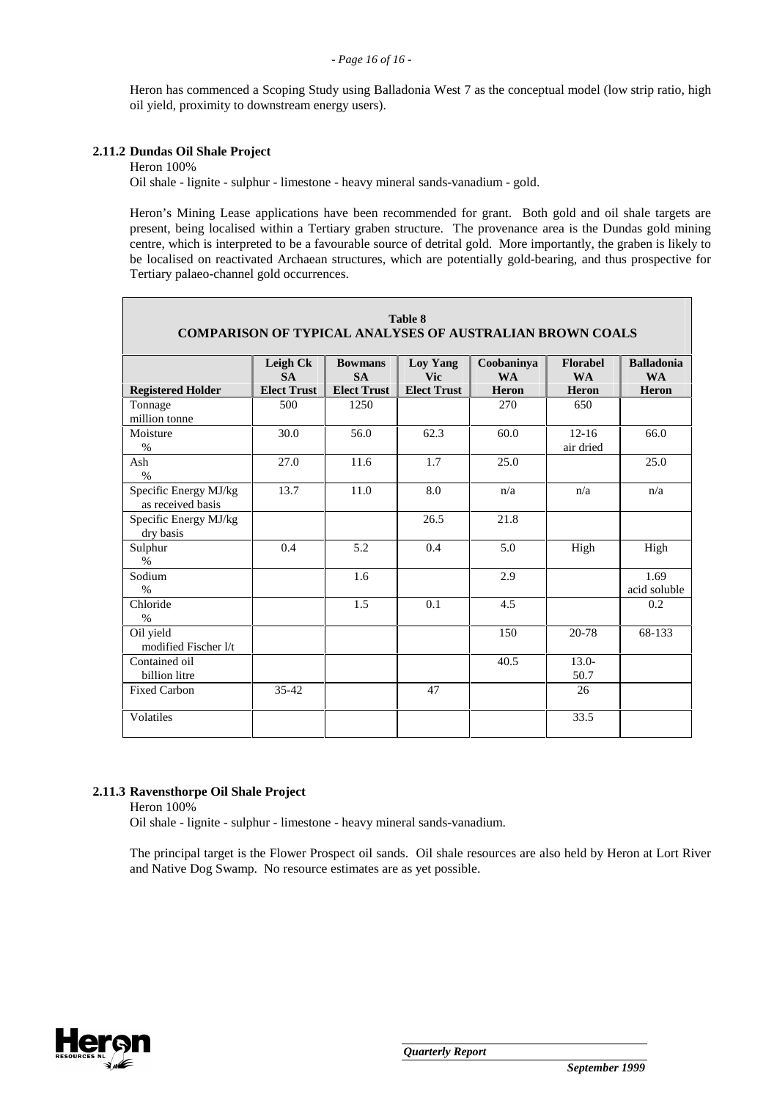Heron has commenced a Scoping Study using Balladonia West 7 as the conceptual model (low strip ratio, high oil yield, proximity to downstream energy users).

# **2.11.2 Dundas Oil Shale Project**

Heron 100%

Oil shale - lignite - sulphur - limestone - heavy mineral sands-vanadium - gold.

Heron's Mining Lease applications have been recommended for grant. Both gold and oil shale targets are present, being localised within a Tertiary graben structure. The provenance area is the Dundas gold mining centre, which is interpreted to be a favourable source of detrital gold. More importantly, the graben is likely to be localised on reactivated Archaean structures, which are potentially gold-bearing, and thus prospective for Tertiary palaeo-channel gold occurrences.

**Table 8** 

| Table o<br><b>COMPARISON OF TYPICAL ANALYSES OF AUSTRALIAN BROWN COALS</b> |                                             |                                                   |                                                     |                                  |                                              |                                         |  |
|----------------------------------------------------------------------------|---------------------------------------------|---------------------------------------------------|-----------------------------------------------------|----------------------------------|----------------------------------------------|-----------------------------------------|--|
| <b>Registered Holder</b>                                                   | Leigh Ck<br><b>SA</b><br><b>Elect Trust</b> | <b>Bowmans</b><br><b>SA</b><br><b>Elect Trust</b> | <b>Loy Yang</b><br><b>Vic</b><br><b>Elect Trust</b> | Coobaninya<br><b>WA</b><br>Heron | <b>Florabel</b><br><b>WA</b><br><b>Heron</b> | <b>Balladonia</b><br><b>WA</b><br>Heron |  |
| Tonnage<br>million tonne                                                   | 500                                         | 1250                                              |                                                     | 270                              | 650                                          |                                         |  |
| Moisture<br>$\%$                                                           | 30.0                                        | 56.0                                              | 62.3                                                | 60.0                             | $12 - 16$<br>air dried                       | 66.0                                    |  |
| Ash<br>$\%$                                                                | 27.0                                        | 11.6                                              | 1.7                                                 | 25.0                             |                                              | 25.0                                    |  |
| Specific Energy MJ/kg<br>as received basis                                 | 13.7                                        | 11.0                                              | 8.0                                                 | n/a                              | n/a                                          | n/a                                     |  |
| Specific Energy MJ/kg<br>dry basis                                         |                                             |                                                   | 26.5                                                | 21.8                             |                                              |                                         |  |
| Sulphur<br>$\%$                                                            | 0.4                                         | 5.2                                               | 0.4                                                 | 5.0                              | High                                         | High                                    |  |
| Sodium<br>$\%$                                                             |                                             | 1.6                                               |                                                     | 2.9                              |                                              | 1.69<br>acid soluble                    |  |
| Chloride<br>$\%$                                                           |                                             | 1.5                                               | 0.1                                                 | 4.5                              |                                              | 0.2                                     |  |
| Oil yield<br>modified Fischer I/t                                          |                                             |                                                   |                                                     | 150                              | 20-78                                        | 68-133                                  |  |
| Contained oil<br>billion litre                                             |                                             |                                                   |                                                     | 40.5                             | $13.0-$<br>50.7                              |                                         |  |
| <b>Fixed Carbon</b>                                                        | $35 - 42$                                   |                                                   | 47                                                  |                                  | 26                                           |                                         |  |
| Volatiles                                                                  |                                             |                                                   |                                                     |                                  | 33.5                                         |                                         |  |

#### **2.11.3 Ravensthorpe Oil Shale Project**

Heron 100%

Oil shale - lignite - sulphur - limestone - heavy mineral sands-vanadium.

The principal target is the Flower Prospect oil sands. Oil shale resources are also held by Heron at Lort River and Native Dog Swamp. No resource estimates are as yet possible.

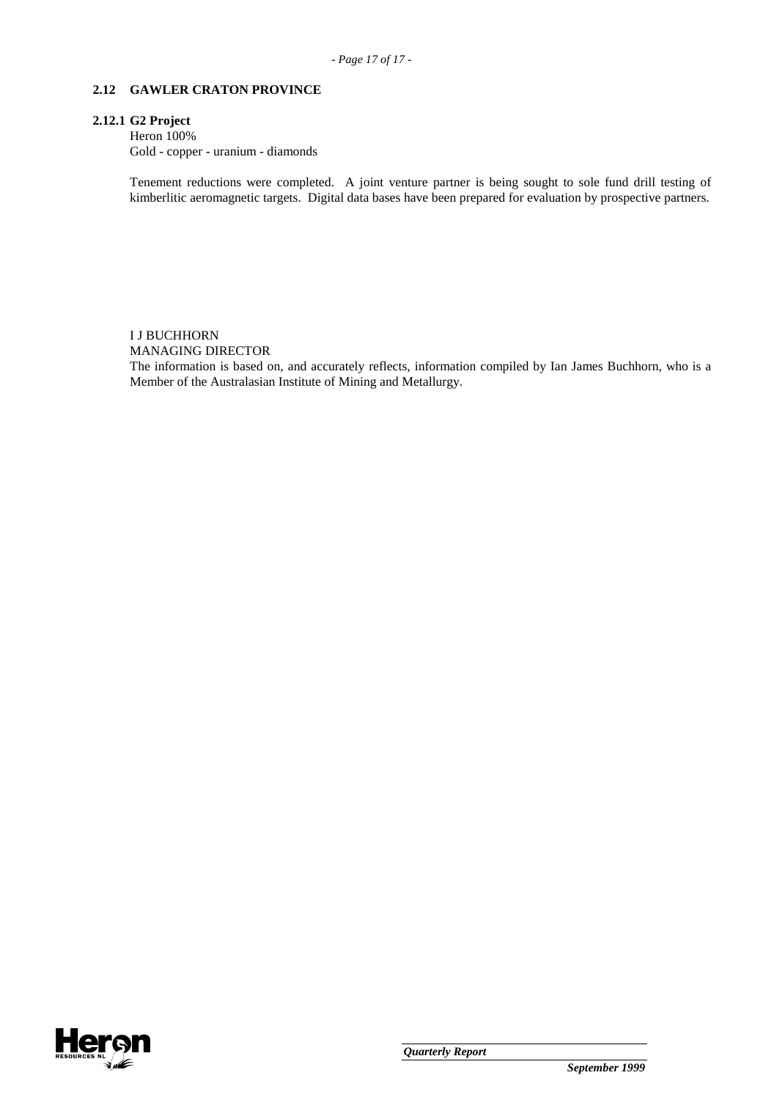#### **2.12 GAWLER CRATON PROVINCE**

#### **2.12.1 G2 Project**

Heron 100% Gold - copper - uranium - diamonds

Tenement reductions were completed. A joint venture partner is being sought to sole fund drill testing of kimberlitic aeromagnetic targets. Digital data bases have been prepared for evaluation by prospective partners.

# I J BUCHHORN

MANAGING DIRECTOR

The information is based on, and accurately reflects, information compiled by Ian James Buchhorn, who is a Member of the Australasian Institute of Mining and Metallurgy.

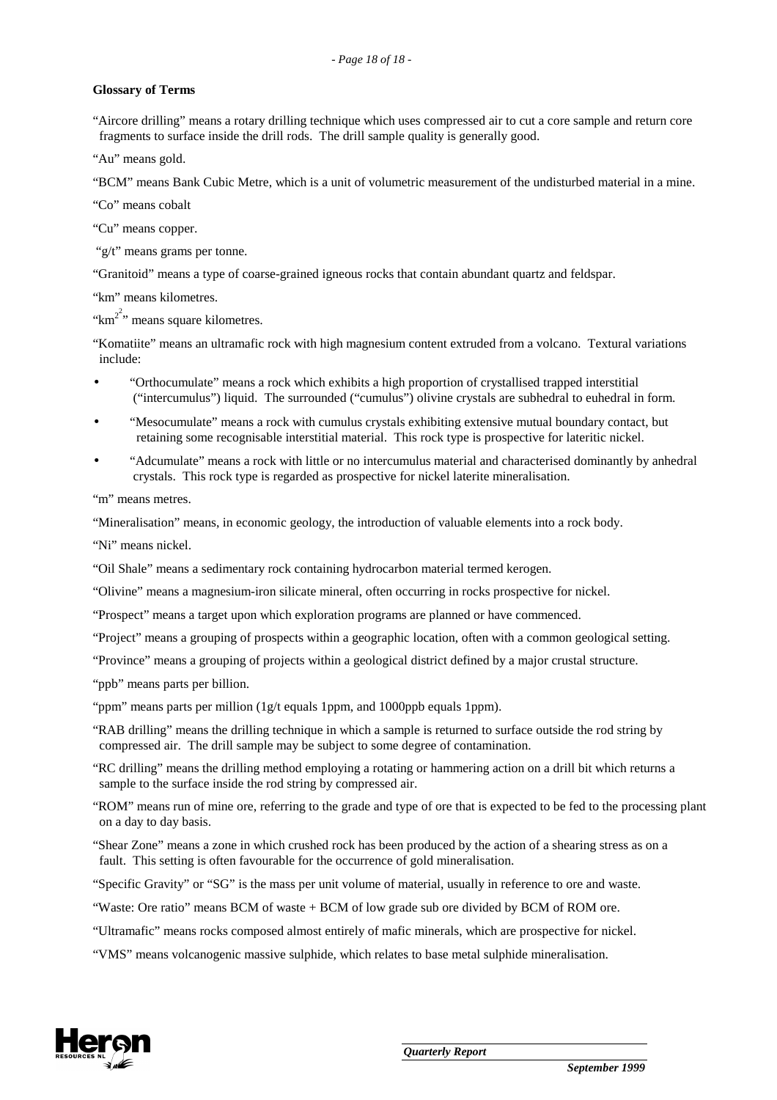#### **Glossary of Terms**

"Aircore drilling" means a rotary drilling technique which uses compressed air to cut a core sample and return core fragments to surface inside the drill rods. The drill sample quality is generally good.

"Au" means gold.

"BCM" means Bank Cubic Metre, which is a unit of volumetric measurement of the undisturbed material in a mine.

"Co" means cobalt

"Cu" means copper.

"g/t" means grams per tonne.

"Granitoid" means a type of coarse-grained igneous rocks that contain abundant quartz and feldspar.

"km" means kilometres.

" $km^{2}$ " means square kilometres.

"Komatiite" means an ultramafic rock with high magnesium content extruded from a volcano. Textural variations include:

- "Orthocumulate" means a rock which exhibits a high proportion of crystallised trapped interstitial ("intercumulus") liquid. The surrounded ("cumulus") olivine crystals are subhedral to euhedral in form.
- "Mesocumulate" means a rock with cumulus crystals exhibiting extensive mutual boundary contact, but retaining some recognisable interstitial material. This rock type is prospective for lateritic nickel.
- "Adcumulate" means a rock with little or no intercumulus material and characterised dominantly by anhedral crystals. This rock type is regarded as prospective for nickel laterite mineralisation.

"m" means metres.

"Mineralisation" means, in economic geology, the introduction of valuable elements into a rock body.

"Ni" means nickel.

"Oil Shale" means a sedimentary rock containing hydrocarbon material termed kerogen.

"Olivine" means a magnesium-iron silicate mineral, often occurring in rocks prospective for nickel.

"Prospect" means a target upon which exploration programs are planned or have commenced.

"Project" means a grouping of prospects within a geographic location, often with a common geological setting.

"Province" means a grouping of projects within a geological district defined by a major crustal structure.

"ppb" means parts per billion.

"ppm" means parts per million (1g/t equals 1ppm, and 1000ppb equals 1ppm).

- "RAB drilling" means the drilling technique in which a sample is returned to surface outside the rod string by compressed air. The drill sample may be subject to some degree of contamination.
- "RC drilling" means the drilling method employing a rotating or hammering action on a drill bit which returns a sample to the surface inside the rod string by compressed air.
- "ROM" means run of mine ore, referring to the grade and type of ore that is expected to be fed to the processing plant on a day to day basis.
- "Shear Zone" means a zone in which crushed rock has been produced by the action of a shearing stress as on a fault. This setting is often favourable for the occurrence of gold mineralisation.

"Specific Gravity" or "SG" is the mass per unit volume of material, usually in reference to ore and waste.

"Waste: Ore ratio" means BCM of waste + BCM of low grade sub ore divided by BCM of ROM ore.

"Ultramafic" means rocks composed almost entirely of mafic minerals, which are prospective for nickel.

"VMS" means volcanogenic massive sulphide, which relates to base metal sulphide mineralisation.

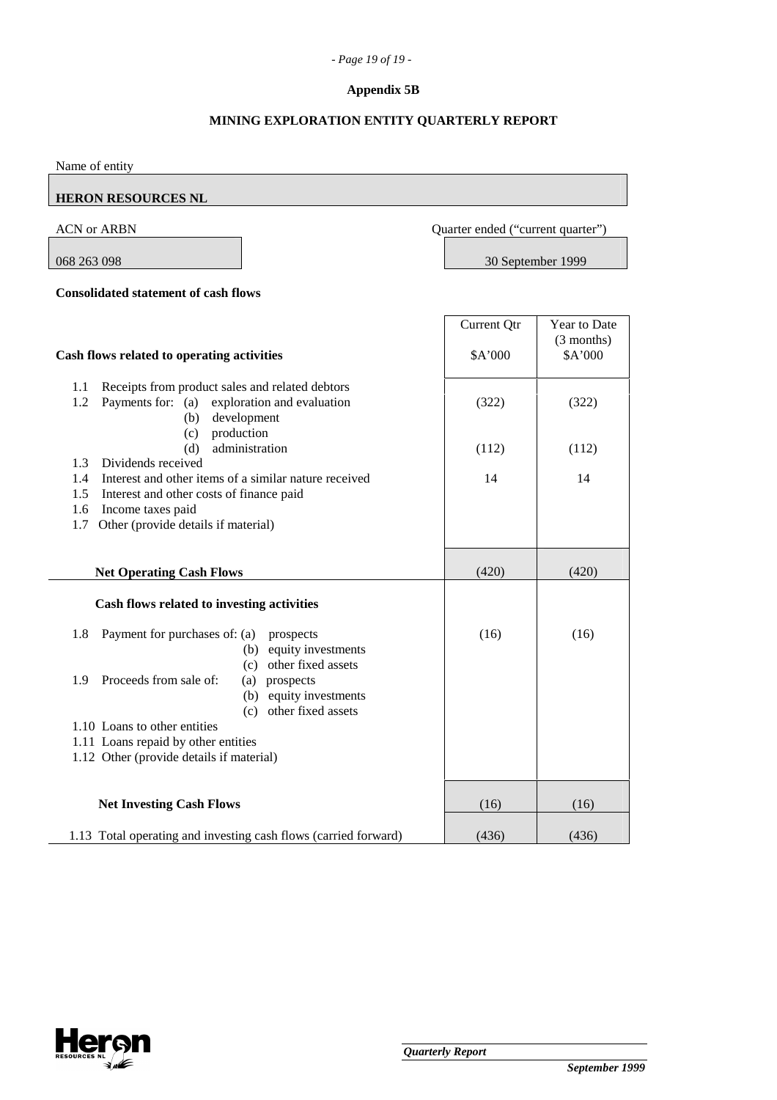#### *- Page 19 of 19 -*

### **Appendix 5B**

### **MINING EXPLORATION ENTITY QUARTERLY REPORT**

Name of entity

# **HERON RESOURCES NL**

### ACN or ARBN Quarter ended ("current quarter")

068 263 098 30 September 1999

#### **Consolidated statement of cash flows**

**Cash flows related to operating activities** Current Qtr \$A'000 Year to Date (3 months) \$A'000 1.1 Receipts from product sales and related debtors 1.2 Payments for: (a) exploration and evaluation (322) (322) (322) (b) development (c) production (d) administration  $(112)$   $(112)$   $(112)$  1.3 Dividends received 1.4 Interest and other items of a similar nature received 14 14 14 1.5 Interest and other costs of finance paid 1.6 Income taxes paid 1.7 Other (provide details if material) **Net Operating Cash Flows** (420) (420) (420) **Cash flows related to investing activities**  1.8 Payment for purchases of: (a) prospects (16) (16) (16) (16) (b) equity investments (c) other fixed assets 1.9 Proceeds from sale of: (a) prospects (b) equity investments (c) other fixed assets 1.10 Loans to other entities 1.11 Loans repaid by other entities 1.12 Other (provide details if material) **Net Investing Cash Flows** (16) (16) (16) (16) 1.13 Total operating and investing cash flows (carried forward) (436) (436) (436)

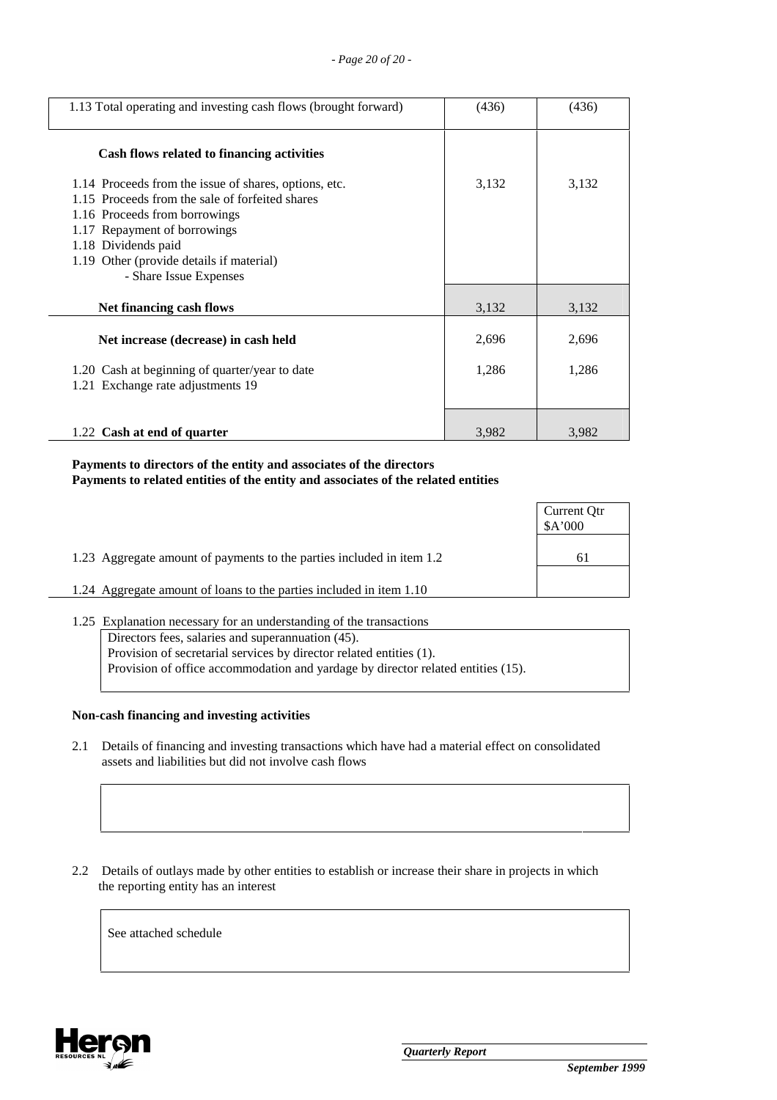| 1.13 Total operating and investing cash flows (brought forward)                                                                                                                                                                                                        | (436) | (436) |
|------------------------------------------------------------------------------------------------------------------------------------------------------------------------------------------------------------------------------------------------------------------------|-------|-------|
| Cash flows related to financing activities                                                                                                                                                                                                                             |       |       |
| 1.14 Proceeds from the issue of shares, options, etc.<br>1.15 Proceeds from the sale of forfeited shares<br>1.16 Proceeds from borrowings<br>1.17 Repayment of borrowings<br>1.18 Dividends paid<br>1.19 Other (provide details if material)<br>- Share Issue Expenses | 3,132 | 3,132 |
| Net financing cash flows                                                                                                                                                                                                                                               | 3,132 | 3,132 |
| Net increase (decrease) in cash held                                                                                                                                                                                                                                   | 2,696 | 2,696 |
| 1.20 Cash at beginning of quarter/year to date<br>1.21 Exchange rate adjustments 19                                                                                                                                                                                    | 1,286 | 1,286 |
| 1.22 Cash at end of quarter                                                                                                                                                                                                                                            | 3,982 | 3,982 |

# **Payments to directors of the entity and associates of the directors Payments to related entities of the entity and associates of the related entities**

|                                                                       | Current Qtr<br>\$A'000 |
|-----------------------------------------------------------------------|------------------------|
| 1.23 Aggregate amount of payments to the parties included in item 1.2 | 61                     |
| 1.24 Aggregate amount of loans to the parties included in item 1.10   |                        |
|                                                                       |                        |

1.25 Explanation necessary for an understanding of the transactions Directors fees, salaries and superannuation (45). Provision of secretarial services by director related entities (1). Provision of office accommodation and yardage by director related entities (15).

#### **Non-cash financing and investing activities**

 2.1 Details of financing and investing transactions which have had a material effect on consolidated assets and liabilities but did not involve cash flows

 2.2 Details of outlays made by other entities to establish or increase their share in projects in which the reporting entity has an interest

See attached schedule

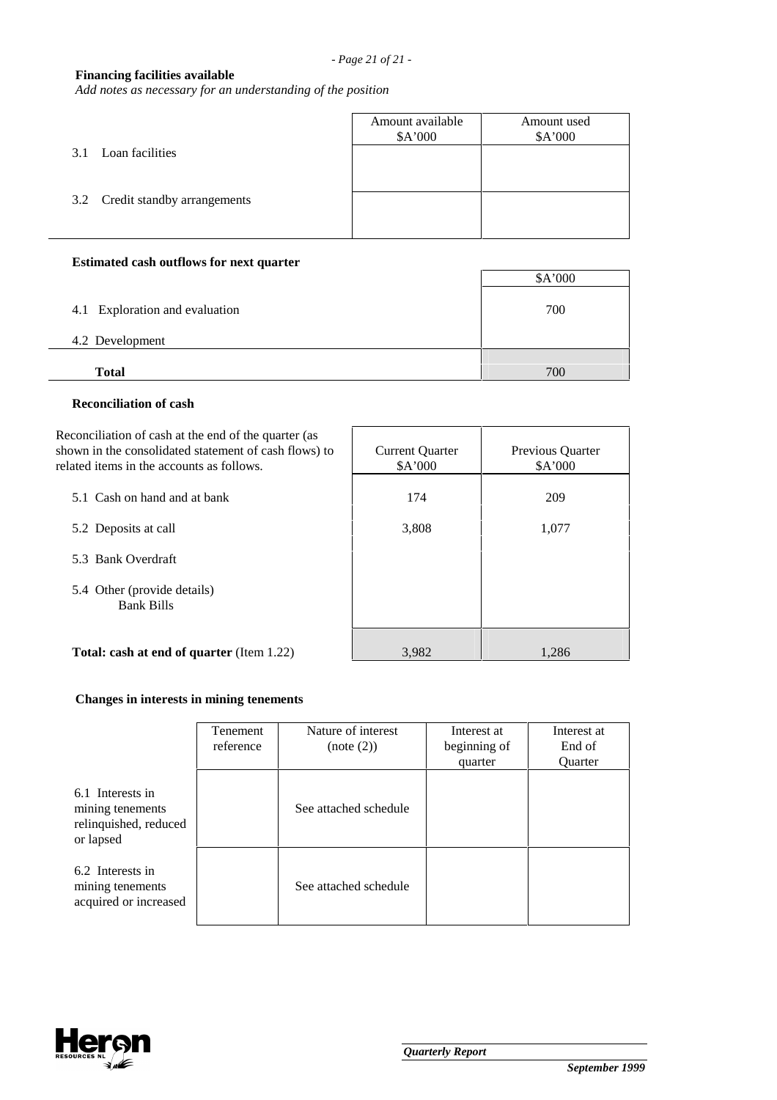# **Financing facilities available**

*Add notes as necessary for an understanding of the position*

|                                 | Amount available<br>\$A'000 | Amount used<br>\$A'000 |
|---------------------------------|-----------------------------|------------------------|
| Loan facilities<br>3.1          |                             |                        |
| 3.2 Credit standby arrangements |                             |                        |
|                                 |                             |                        |

# **Estimated cash outflows for next quarter**

|                                | \$A'000 |
|--------------------------------|---------|
| 4.1 Exploration and evaluation | 700     |
| 4.2 Development                |         |
| <b>Total</b>                   | 700     |

#### **Reconciliation of cash**

| Reconciliation of cash at the end of the quarter (as<br>shown in the consolidated statement of cash flows) to<br>related items in the accounts as follows. | <b>Current Quarter</b><br>\$A'000 | <b>Previous Quarter</b><br>\$A'000 |
|------------------------------------------------------------------------------------------------------------------------------------------------------------|-----------------------------------|------------------------------------|
| 5.1 Cash on hand and at bank                                                                                                                               | 174                               | 209                                |
| 5.2 Deposits at call                                                                                                                                       | 3,808                             | 1,077                              |
| 5.3 Bank Overdraft                                                                                                                                         |                                   |                                    |
| 5.4 Other (provide details)<br><b>Bank Bills</b>                                                                                                           |                                   |                                    |
| <b>Total: cash at end of quarter (Item 1.22)</b>                                                                                                           | 3,982                             | 1,286                              |

# **Changes in interests in mining tenements**

|                                                                            | Tenement<br>reference | Nature of interest<br>(note (2)) | Interest at<br>beginning of<br>quarter | Interest at<br>End of<br><b>Ouarter</b> |
|----------------------------------------------------------------------------|-----------------------|----------------------------------|----------------------------------------|-----------------------------------------|
| 6.1 Interests in<br>mining tenements<br>relinquished, reduced<br>or lapsed |                       | See attached schedule            |                                        |                                         |
| 6.2 Interests in<br>mining tenements<br>acquired or increased              |                       | See attached schedule            |                                        |                                         |

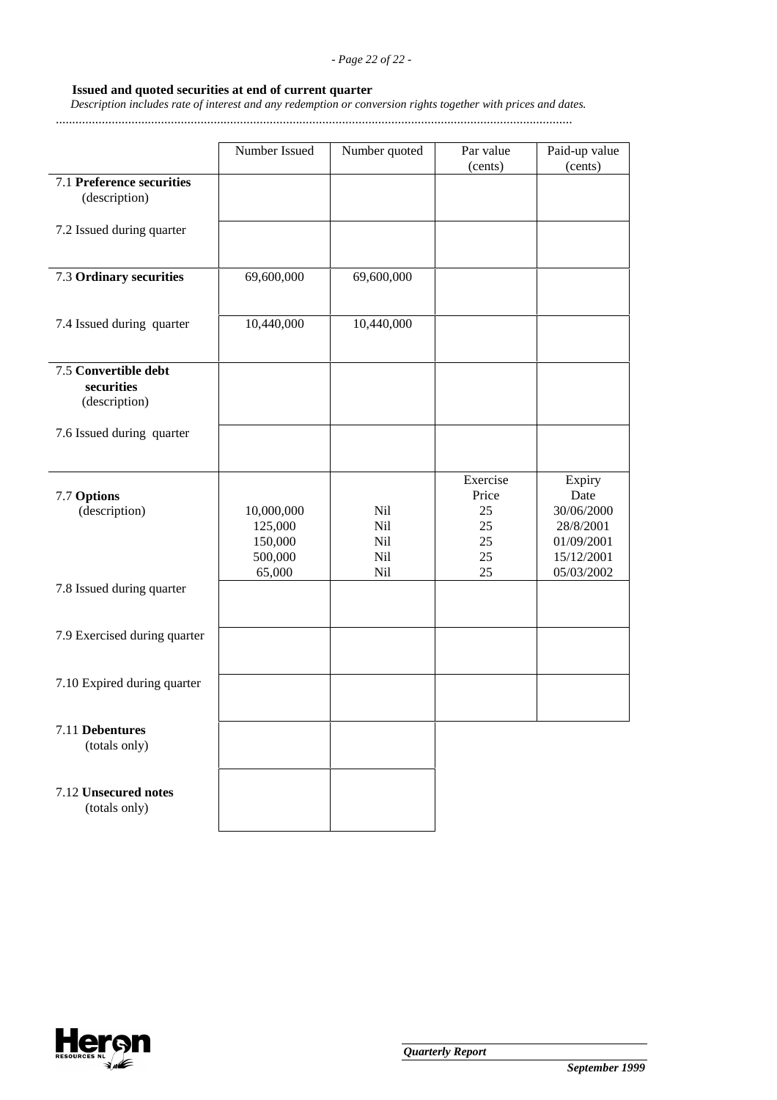### *- Page 22 of 22 -*

### **Issued and quoted securities at end of current quarter**

 *Description includes rate of interest and any redemption or conversion rights together with prices and dates.*

.............................................................................................................................................................

|                                                     | Number Issued                               | Number quoted                   | Par value<br>(cents)                            | Paid-up value<br>(cents)                                                            |
|-----------------------------------------------------|---------------------------------------------|---------------------------------|-------------------------------------------------|-------------------------------------------------------------------------------------|
| 7.1 Preference securities<br>(description)          |                                             |                                 |                                                 |                                                                                     |
| 7.2 Issued during quarter                           |                                             |                                 |                                                 |                                                                                     |
| 7.3 Ordinary securities                             | 69,600,000                                  | 69,600,000                      |                                                 |                                                                                     |
| 7.4 Issued during quarter                           | 10,440,000                                  | 10,440,000                      |                                                 |                                                                                     |
| 7.5 Convertible debt<br>securities<br>(description) |                                             |                                 |                                                 |                                                                                     |
| 7.6 Issued during quarter                           |                                             |                                 |                                                 |                                                                                     |
| 7.7 Options<br>(description)                        | 10,000,000<br>125,000<br>150,000<br>500,000 | Nil<br>Nil<br>Nil<br>Nil<br>Nil | Exercise<br>Price<br>25<br>25<br>25<br>25<br>25 | Expiry<br>Date<br>30/06/2000<br>28/8/2001<br>01/09/2001<br>15/12/2001<br>05/03/2002 |
| 7.8 Issued during quarter                           | 65,000                                      |                                 |                                                 |                                                                                     |
| 7.9 Exercised during quarter                        |                                             |                                 |                                                 |                                                                                     |
| 7.10 Expired during quarter                         |                                             |                                 |                                                 |                                                                                     |
| 7.11 Debentures<br>(totals only)                    |                                             |                                 |                                                 |                                                                                     |
| 7.12 Unsecured notes<br>(totals only)               |                                             |                                 |                                                 |                                                                                     |

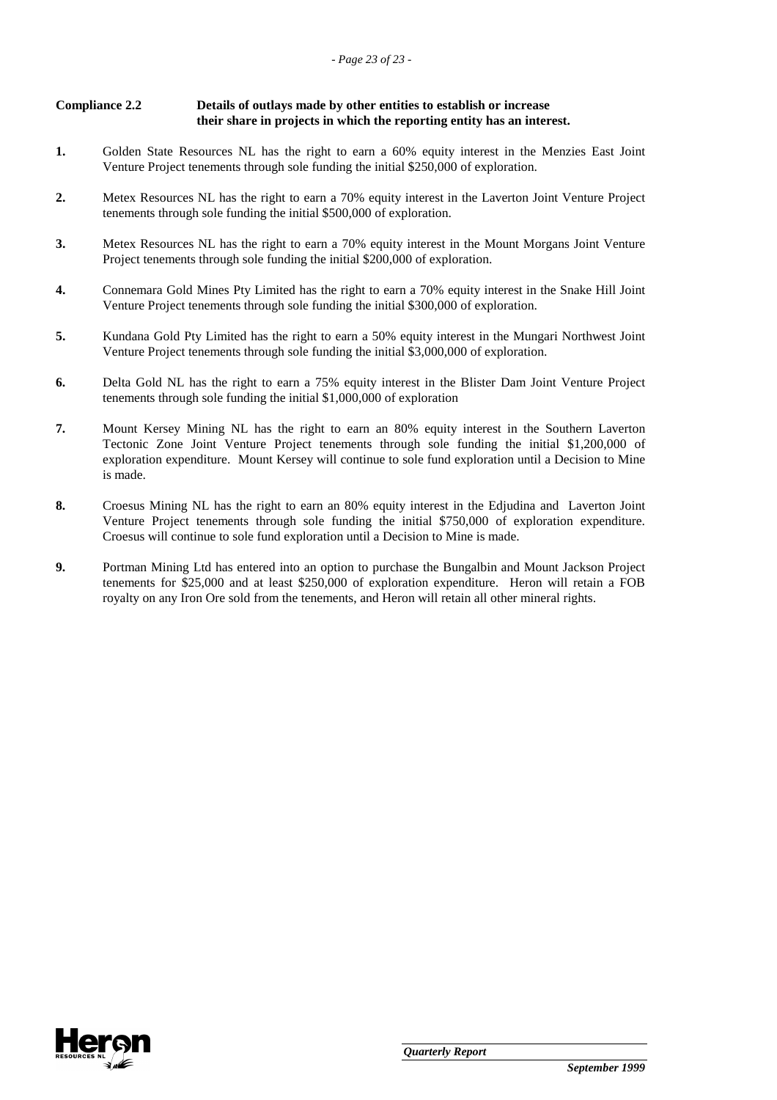| <b>Compliance 2.2</b> | Details of outlays made by other entities to establish or increase     |
|-----------------------|------------------------------------------------------------------------|
|                       | their share in projects in which the reporting entity has an interest. |

- **1.** Golden State Resources NL has the right to earn a 60% equity interest in the Menzies East Joint Venture Project tenements through sole funding the initial \$250,000 of exploration.
- **2.** Metex Resources NL has the right to earn a 70% equity interest in the Laverton Joint Venture Project tenements through sole funding the initial \$500,000 of exploration.
- **3.** Metex Resources NL has the right to earn a 70% equity interest in the Mount Morgans Joint Venture Project tenements through sole funding the initial \$200,000 of exploration.
- **4.** Connemara Gold Mines Pty Limited has the right to earn a 70% equity interest in the Snake Hill Joint Venture Project tenements through sole funding the initial \$300,000 of exploration.
- **5.** Kundana Gold Pty Limited has the right to earn a 50% equity interest in the Mungari Northwest Joint Venture Project tenements through sole funding the initial \$3,000,000 of exploration.
- **6.** Delta Gold NL has the right to earn a 75% equity interest in the Blister Dam Joint Venture Project tenements through sole funding the initial \$1,000,000 of exploration
- **7.** Mount Kersey Mining NL has the right to earn an 80% equity interest in the Southern Laverton Tectonic Zone Joint Venture Project tenements through sole funding the initial \$1,200,000 of exploration expenditure. Mount Kersey will continue to sole fund exploration until a Decision to Mine is made.
- **8.** Croesus Mining NL has the right to earn an 80% equity interest in the Edjudina and Laverton Joint Venture Project tenements through sole funding the initial \$750,000 of exploration expenditure. Croesus will continue to sole fund exploration until a Decision to Mine is made.
- **9.** Portman Mining Ltd has entered into an option to purchase the Bungalbin and Mount Jackson Project tenements for \$25,000 and at least \$250,000 of exploration expenditure. Heron will retain a FOB royalty on any Iron Ore sold from the tenements, and Heron will retain all other mineral rights.

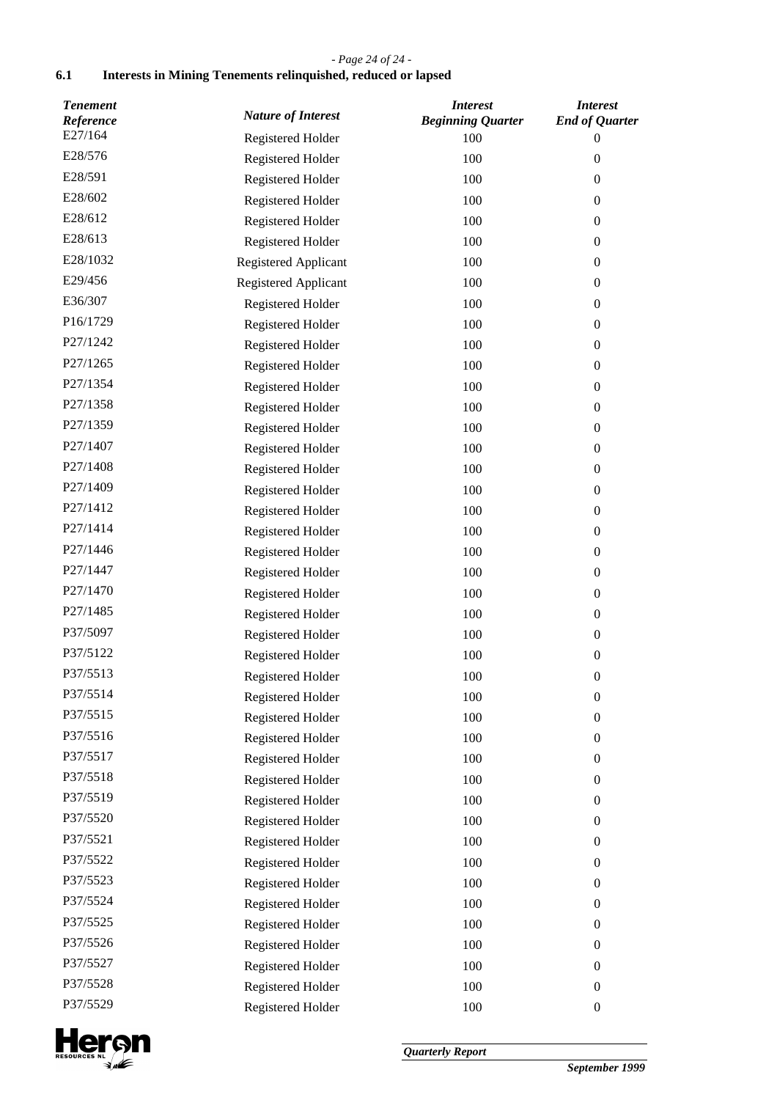# *- Page 24 of 24 -*

# **6.1 Interests in Mining Tenements relinquished, reduced or lapsed**

| <b>Tenement</b><br>Reference | <b>Nature of Interest</b> | <b>Interest</b><br><b>Beginning Quarter</b> | <b>Interest</b><br><b>End of Quarter</b> |
|------------------------------|---------------------------|---------------------------------------------|------------------------------------------|
| E27/164                      | Registered Holder         | 100                                         | 0                                        |
| E28/576                      | Registered Holder         | 100                                         | $\boldsymbol{0}$                         |
| E28/591                      | Registered Holder         | 100                                         | $\boldsymbol{0}$                         |
| E28/602                      | Registered Holder         | 100                                         | $\overline{0}$                           |
| E28/612                      | Registered Holder         | 100                                         | $\boldsymbol{0}$                         |
| E28/613                      | Registered Holder         | 100                                         | $\boldsymbol{0}$                         |
| E28/1032                     | Registered Applicant      | 100                                         | $\overline{0}$                           |
| E29/456                      | Registered Applicant      | 100                                         | $\boldsymbol{0}$                         |
| E36/307                      | Registered Holder         | 100                                         | $\boldsymbol{0}$                         |
| P16/1729                     | Registered Holder         | 100                                         | $\boldsymbol{0}$                         |
| P27/1242                     | Registered Holder         | 100                                         | $\boldsymbol{0}$                         |
| P27/1265                     | Registered Holder         | 100                                         | $\boldsymbol{0}$                         |
| P27/1354                     | Registered Holder         | 100                                         | $\boldsymbol{0}$                         |
| P27/1358                     | Registered Holder         | 100                                         | $\boldsymbol{0}$                         |
| P27/1359                     | Registered Holder         | 100                                         | $\boldsymbol{0}$                         |
| P27/1407                     | Registered Holder         | 100                                         | $\boldsymbol{0}$                         |
| P27/1408                     | Registered Holder         | 100                                         | $\boldsymbol{0}$                         |
| P27/1409                     | Registered Holder         | 100                                         | $\boldsymbol{0}$                         |
| P27/1412                     | Registered Holder         | 100                                         | $\boldsymbol{0}$                         |
| P27/1414                     | Registered Holder         | 100                                         | $\boldsymbol{0}$                         |
| P27/1446                     | Registered Holder         | 100                                         | $\boldsymbol{0}$                         |
| P27/1447                     | Registered Holder         | 100                                         | $\boldsymbol{0}$                         |
| P27/1470                     | Registered Holder         | 100                                         | $\overline{0}$                           |
| P27/1485                     | Registered Holder         | 100                                         | $\boldsymbol{0}$                         |
| P37/5097                     | Registered Holder         | 100                                         | $\boldsymbol{0}$                         |
| P37/5122                     | Registered Holder         | 100                                         | $\boldsymbol{0}$                         |
| P37/5513                     | Registered Holder         | 100                                         | $\boldsymbol{0}$                         |
| P37/5514                     | Registered Holder         | 100                                         | $\boldsymbol{0}$                         |
| P37/5515                     | Registered Holder         | 100                                         | $\boldsymbol{0}$                         |
| P37/5516                     | Registered Holder         | 100                                         | $\boldsymbol{0}$                         |
| P37/5517                     | Registered Holder         | 100                                         | $\boldsymbol{0}$                         |
| P37/5518                     | Registered Holder         | 100                                         | $\boldsymbol{0}$                         |
| P37/5519                     | Registered Holder         | 100                                         | $\boldsymbol{0}$                         |
| P37/5520                     | Registered Holder         | 100                                         | $\boldsymbol{0}$                         |
| P37/5521                     | Registered Holder         | 100                                         | $\boldsymbol{0}$                         |
| P37/5522                     | Registered Holder         | 100                                         | $\boldsymbol{0}$                         |
| P37/5523                     | Registered Holder         | 100                                         | $\boldsymbol{0}$                         |
| P37/5524                     | Registered Holder         | 100                                         | $\boldsymbol{0}$                         |
| P37/5525                     | Registered Holder         | 100                                         | $\boldsymbol{0}$                         |
| P37/5526                     | Registered Holder         | 100                                         | $\boldsymbol{0}$                         |
| P37/5527                     | Registered Holder         | 100                                         | $\boldsymbol{0}$                         |
| P37/5528                     | Registered Holder         | 100                                         | $\boldsymbol{0}$                         |
| P37/5529                     | Registered Holder         | 100                                         | $\boldsymbol{0}$                         |

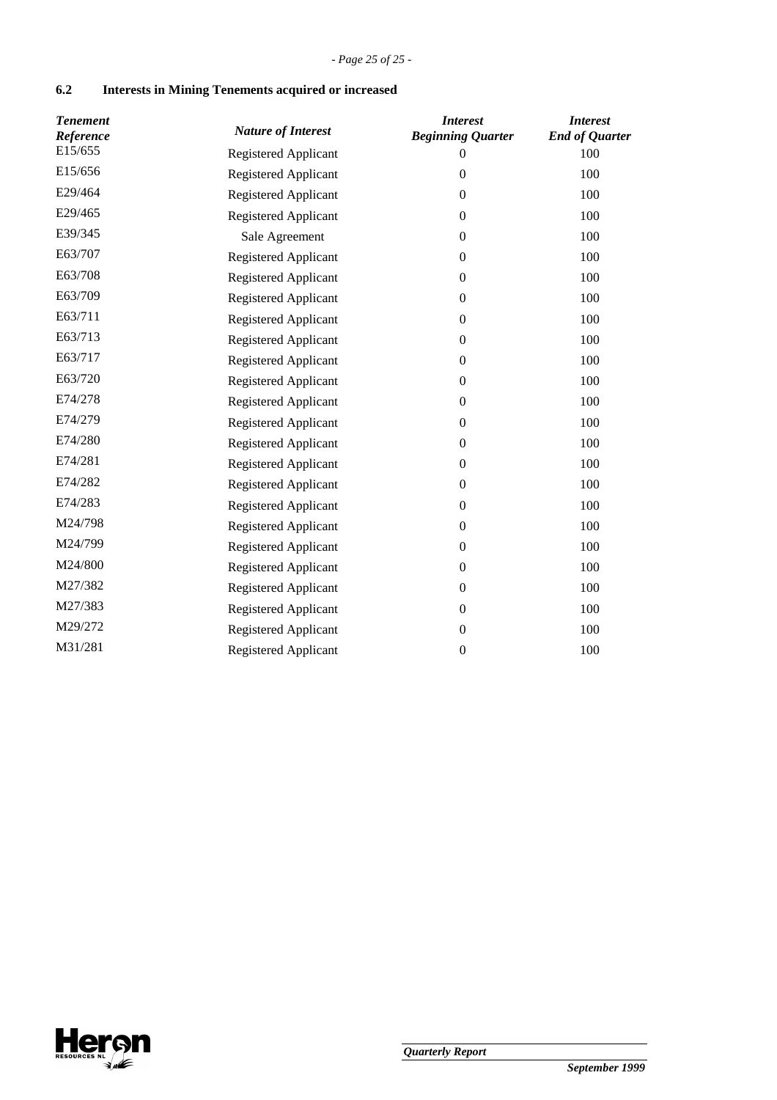# **6.2 Interests in Mining Tenements acquired or increased**

| <b>Tenement</b><br>Reference | <b>Nature of Interest</b>   | <b>Interest</b><br><b>Beginning Quarter</b> | <b>Interest</b><br><b>End of Quarter</b> |
|------------------------------|-----------------------------|---------------------------------------------|------------------------------------------|
| E15/655                      | Registered Applicant        | $\mathbf{0}$                                | 100                                      |
| E15/656                      | Registered Applicant        | $\mathbf{0}$                                | 100                                      |
| E29/464                      | Registered Applicant        | $\Omega$                                    | 100                                      |
| E29/465                      | Registered Applicant        | $\boldsymbol{0}$                            | 100                                      |
| E39/345                      | Sale Agreement              | $\mathbf{0}$                                | 100                                      |
| E63/707                      | Registered Applicant        | $\mathbf{0}$                                | 100                                      |
| E63/708                      | Registered Applicant        | $\boldsymbol{0}$                            | 100                                      |
| E63/709                      | Registered Applicant        | $\mathbf{0}$                                | 100                                      |
| E63/711                      | <b>Registered Applicant</b> | $\mathbf{0}$                                | 100                                      |
| E63/713                      | <b>Registered Applicant</b> | $\mathbf{0}$                                | 100                                      |
| E63/717                      | Registered Applicant        | $\boldsymbol{0}$                            | 100                                      |
| E63/720                      | Registered Applicant        | $\boldsymbol{0}$                            | 100                                      |
| E74/278                      | Registered Applicant        | $\boldsymbol{0}$                            | 100                                      |
| E74/279                      | Registered Applicant        | $\boldsymbol{0}$                            | 100                                      |
| E74/280                      | Registered Applicant        | $\boldsymbol{0}$                            | 100                                      |
| E74/281                      | Registered Applicant        | $\boldsymbol{0}$                            | 100                                      |
| E74/282                      | Registered Applicant        | $\mathbf{0}$                                | 100                                      |
| E74/283                      | Registered Applicant        | $\boldsymbol{0}$                            | 100                                      |
| M24/798                      | Registered Applicant        | $\mathbf{0}$                                | 100                                      |
| M24/799                      | Registered Applicant        | $\mathbf{0}$                                | 100                                      |
| M24/800                      | Registered Applicant        | $\boldsymbol{0}$                            | 100                                      |
| M27/382                      | Registered Applicant        | $\boldsymbol{0}$                            | 100                                      |
| M27/383                      | Registered Applicant        | $\mathbf{0}$                                | 100                                      |
| M29/272                      | Registered Applicant        | $\boldsymbol{0}$                            | 100                                      |
| M31/281                      | Registered Applicant        | $\boldsymbol{0}$                            | 100                                      |